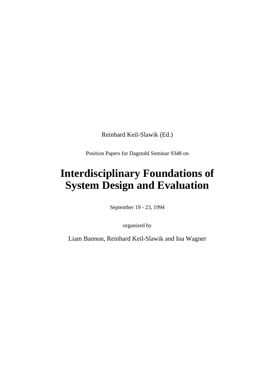Reinhard Keil-Slawik (Ed.)

Position Papers for Dagstuhl Seminar 9348 on

# **Interdisciplinary Foundations of System Design and Evaluation**

September 19 - 23, 1994

organized by

Liam Bannon, Reinhard Keil-Slawik and Ina Wagner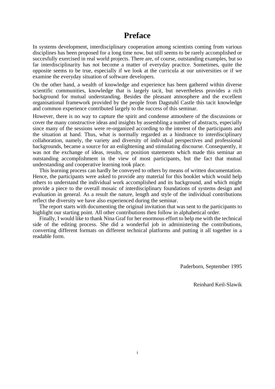## **Preface**

In systems development, interdisciplinary cooperation among scientists coming from various disciplines has been proposed for a long time now, but still seems to be rarely accomplished or succesfully exercised in real world projects. There are, of course, outstanding examples, but so far interdisciplinarity has not become a matter of everyday practice. Sometimes, quite the opposite seems to be true, especially if we look at the curricula at our universities or if we examine the everyday situation of software developers.

On the other hand, a wealth of knowledge and experience has been gathered within diverse scientific communities, knowledge that is largely tacit, but nevertheless provides a rich background for mutual understanding. Besides the pleasant atmosphere and the excellent organisational framework provided by the people from Dagstuhl Castle this tacit knowledge and common experience contributed largely to the success of this seminar.

However, there is no way to capture the spirit and condense atmoshere of the discussions or cover the many constructive ideas and insights by assembling a number of abstracts, especially since many of the sessions were re-organized according to the interest of the participants and the situation at hand. Thus, what is normally regarded as a hindrance to interdisciplinary collaboration, namely, the variety and diversity of individual perspectives and professional backgrounds, became a source for an enlightening and stimulating discourse. Consequently, it was not the exchange of ideas, results, or position statements which made this seminar an outstanding accomplishment in the view of most participants, but the fact that mutual understanding and cooperative learning took place.

This learning process can hardly be conveyed to others by means of written documentation. Hence, the participants were asked to provide any material for this booklet which would help others to understand the individual work accomplished and its background, and which might provide a piece to the overall mosaic of interdisciplinary foundations of systems design and evaluation in general. As a result the nature, length and style of the individual contributions reflect the diversity we have also experienced during the seminar.

The report starts with documenting the original invitation that was sent to the participants to highlight our starting point. All other contributions then follow in alphabetical order.

Finally, I would like to thank Nina Graf for her enormous effort to help me with the technical side of the editing process. She did a wonderful job in administering the contributions, converting different formats on different technical platforms and putting it all together in a readable form.

Paderborn, September 1995

Reinhard Keil-Slawik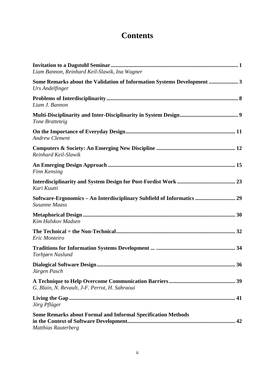# **Contents**

| Liam Bannon, Reinhard Keil-Slawik, Ina Wagner                                                     |
|---------------------------------------------------------------------------------------------------|
| Some Remarks about the Validation of Information Systems Development  3<br>Urs Andelfinger        |
| Liam J. Bannon                                                                                    |
| Tone Bratteteig                                                                                   |
| <b>Andrew Clement</b>                                                                             |
| Reinhard Keil-Slawik                                                                              |
| Finn Kensing                                                                                      |
| Kari Kuutti                                                                                       |
| Software-Ergonomics - An Interdisciplinary Subfield of Informatics  29<br><b>Susanne Maass</b>    |
| Kim Halskov Madsen                                                                                |
| Eric Monteiro                                                                                     |
| Torbjørn Naslund                                                                                  |
| Jürgen Pasch                                                                                      |
| G. Blain, N. Revault, J-F. Perrot, H. Sahraoui                                                    |
| Jörg Pflüger                                                                                      |
| <b>Some Remarks about Formal and Informal Specification Methods</b><br><b>Matthias Rauterberg</b> |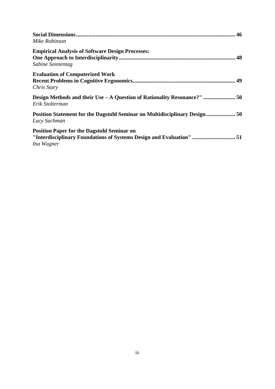| Mike Robinson                                                                                                                           |  |
|-----------------------------------------------------------------------------------------------------------------------------------------|--|
| <b>Empirical Analysis of Software Design Processes:</b><br>Sabine Sonnentag                                                             |  |
| <b>Evaluation of Computerized Work</b><br>Chris Stary                                                                                   |  |
| Design Methods and their Use - A Question of Rationality Resonance?"  50<br>Erik Stolterman                                             |  |
| Position Statement for the Dagstuhl Seminar on Multidisciplinary Design  50<br>Lucy Suchman                                             |  |
| <b>Position Paper for the Dagstuhl Seminar on</b><br>"Interdisciplinary Foundations of Systems Design and Evaluation"  51<br>Ina Wagner |  |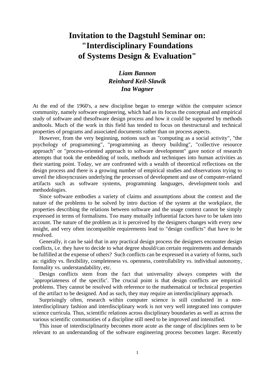# **Invitation to the Dagstuhl Seminar on: "Interdisciplinary Foundations of Systems Design & Evaluation"**

## *Liam Bannon Reinhard Keil-Slawik Ina Wagner*

At the end of the 1960's, a new discipline began to emerge within the computer science community, namely software engineering, which had as its focus the conceptual and empirical study of software and thesoftware design process and how it could be supported by methods andtools. Much of the work in this field has tended to focus on thestructural and technical properties of programs and associated documents rather than on process aspects.

However, from the very beginning, notions such as "computing as a social activity", "the psychology of programming", "programming as theory building", "collective resource approach" or "process-oriented approach to software development" gave notice of research attempts that took the embedding of tools, methods and techniques into human activities as their starting point. Today, we are confronted with a wealth of theoretical reflections on the design process and there is a growing number of empirical studies and observations trying to unveil the idiosyncrasies underlying the processes of development and use of computer-related artifacts such as software systems, programming languages, development tools and methodologies.

Since software embodies a variety of claims and assumptions about the context and the nature of the problems to be solved by intro duction of the system at the workplace, the properties describing the relations between software and the usage context cannot be simply expressed in terms of formalisms. Too many mutually influential factors have to be taken into account. The nature of the problem as it is perceived by the designers changes with every new insight, and very often incompatible requirements lead to "design conflicts" that have to be resolved.

Generally, it can be said that in any practical design process the designers encounter design conflicts, i.e. they have to decide to what degree should/can certain requirements and demands be fulfilled at the expense of others? Such conflicts can be expressed in a variety of forms, such as: rigidity vs. flexibility, completeness vs. openness, controllability vs. individual autonomy, formality vs. understandability, etc.

Design conflicts stem from the fact that universality always competes with the `appropriateness of the specific'. The crucial point is that design conflicts are empirical problems. They cannot be resolved with reference to the mathematical or technical properties of the artifact to be designed. And as such, they may require an interdisciplinary approach.

Surprisingly often, research within computer science is still conducted in a noninterdisciplinary fashion and interdisciplinary work is not very well integrated into computer science curricula. Thus, scientific relations across disciplinary boundaries as well as across the various scientific communities of a discipline still need to be improved and intensified.

This issue of interdisciplinarity becomes more acute as the range of disciplines seen to be relevant to an understanding of the software engineering process becomes larger. Recently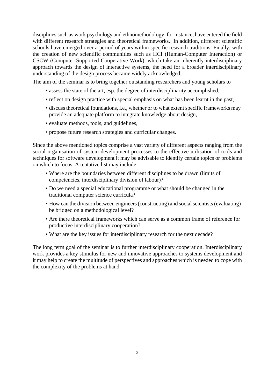disciplines such as work psychology and ethnomethodology, for instance, have entered the field with different research strategies and theoretical frameworks. In addition, different scientific schools have emerged over a period of years within specific research traditions. Finally, with the creation of new scientific communities such as HCI (Human-Computer Interaction) or CSCW (Computer Supported Cooperative Work), which take an inherently interdisciplinary approach towards the design of interactive systems, the need for a broader interdisciplinary understanding of the design process became widely acknowledged.

The aim of the seminar is to bring together outstanding researchers and young scholars to

- assess the state of the art, esp. the degree of interdisciplinarity accomplished,
- reflect on design practice with special emphasis on what has been learnt in the past,
- discuss theoretical foundations, i.e., whether or to what extent specific frameworks may provide an adequate platform to integrate knowledge about design,
- evaluate methods, tools, and guidelines,
- propose future research strategies and curricular changes.

Since the above mentioned topics comprise a vast variety of different aspects ranging from the social organisation of system development processes to the effective utilisation of tools and techniques for software development it may be advisable to identify certain topics or problems on which to focus. A tentative list may include:

- Where are the boundaries between different disciplines to be drawn (limits of competencies, interdisciplinary division of labour)?
- Do we need a special educational programme or what should be changed in the traditional computer science curricula?
- How can the division between engineers (constructing) and social scientists (evaluating) be bridged on a methodological level?
- Are there theoretical frameworks which can serve as a common frame of reference for productive interdisciplinary cooperation?
- What are the key issues for interdisciplinary research for the next decade?

The long term goal of the seminar is to further interdisciplinary cooperation. Interdisciplinary work provides a key stimulus for new and innovative approaches to systems development and it may help to create the multitude of perspectives and approaches which is needed to cope with the complexity of the problems at hand.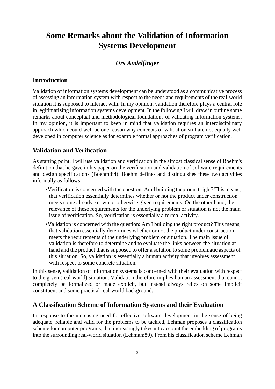# **Some Remarks about the Validation of Information Systems Development**

## *Urs Andelfinger*

## **Introduction**

Validation of information systems development can be understood as a communicative process of assessing an information system with respect to the needs and requirements of the real-world situation it is supposed to interact with. In my opinion, validation therefore plays a central role in legitimatizing information systems development. In the following I will draw in outline some remarks about conceptual and methodological foundations of validating information systems. In my opinion, it is important to keep in mind that validation requires an interdisciplinary approach which could well be one reason why concepts of validation still are not equally well developed in computer science as for example formal approaches of program verification.

## **Validation and Verification**

As starting point, I will use validation and verification in the almost classical sense of Boehm's definition that he gave in his paper on the verification and validation of software requirements and design specifications (Boehm:84). Boehm defines and distinguishes these two activities informally as follows:

- •Verification is concerned with the question: Am I building theproduct right? This means, that verification essentially determines whether or not the product under construction meets some already known or otherwise given requirements. On the other hand, the relevance of these requirements for the underlying problem or situation is not the main issue of verification. So, verification is essentially a formal activity.
- •Validation is concerned with the question: Am I building the right product? This means, that validation essentially determines whether or not the product under construction meets the requirements of the underlying problem or situation. The main issue of validation is therefore to determine and to evaluate the links between the situation at hand and the product that is supposed to offer a solution to some problematic aspects of this situation. So, validation is essentially a human activity that involves assessment with respect to some concrete situation.

In this sense, validation of information systems is concerned with their evaluation with respect to the given (real-world) situation. Validation therefore implies human assessment that cannot completely be formalized or made explicit, but instead always relies on some implicit constituent and some practical real-world background.

## **A Classification Scheme of Information Systems and their Evaluation**

In response to the increasing need for effective software development in the sense of being adequate, reliable and valid for the problems to be tackled, Lehman proposes a classification scheme for computer programs, that increasingly takes into account the embedding of programs into the surrounding real-world situation (Lehman:80). From his classification scheme Lehman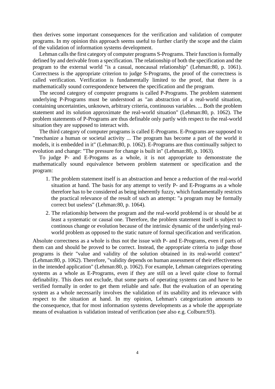then derives some important consequences for the verification and validation of computer programs. In my opinion this approach seems useful to further clarify the scope and the claim of the validation of information systems development.

Lehman calls the first category of computer programs S-Programs. Their function is formally defined by and derivable from a specification. The relationship of both the specification and the program to the external world "is a casual, noncausal relationship" (Lehman:80, p. 1061). Correctness is the appropriate criterion to judge S-Programs, the proof of the correctness is called verification. Verification is fundamentally limited to the proof, that there is a mathematically sound correspondence between the specification and the program.

The second category of computer programs is called P-Programs. The problem statement underlying P-Programs must be understood as "an abstraction of a real-world situation, containing uncertainties, unknown, arbitrary criteria, continuous variables. ... Both the problem statement and its solution approximate the real-world situation" (Lehman:80, p. 1062). The problem statements of P-Programs are thus definable only partly with respect to the real-world situation they are supposed to interact with.

The third category of computer programs is called E-Programs. E-Programs are supposed to "mechanize a human or societal activity ... The program has become a part of the world it models, it is embedded in it" (Lehman:80, p. 1062). E-Programs are thus continually subject to evolution and change: "The pressure for change is built in" (Lehman:80, p. 1063).

To judge P- and E-Progams as a whole, it is not appropriate to demonstrate the mathematically sound equivalence between problem statement or specification and the program:

- 1. The problem statement itself is an abstraction and hence a reduction of the real-world situation at hand. The basis for any attempt to verify P- and E-Programs as a whole therefore has to be considered as being inherently fuzzy, which fundamentally restricts the practical relevance of the result of such an attempt: "a program may be formally correct but useless" (Lehman:80, p. 1064).
- 2. The relationship between the program and the real-world problemd is or should be at least a systematic or causal one. Therefore, the problem statement itself is subject to continous change or evolution because of the intrinsic dynamic of the underlying realworld problem as opposed to the static nature of formal specification and verification.

Absolute correctness as a whole is thus not the issue with P- and E-Programs, even if parts of them can and should be proved to be correct. Instead, the appropriate criteria to judge those programs is their "value and validity of the solution obtained in its real-world context" (Lehman:80, p. 1062). Therefore, "validity depends on human assessment of their effectiveness in the intended application" (Lehman:80, p. 1062). For example, Lehman categorizes operating systems as a whole as E-Programs, even if they are still on a level quite close to formal definability. This does not exclude, that some parts of operating systems can and have to be verified formally in order to get them reliable and safe. But the evaluation of an operating system as a whole necessarily involves the validation of its usability and its relevance with respect to the situation at hand. In my opinion, Lehman's categorization amounts to the consequence, that for most information systems developments as a whole the appropriate means of evaluation is validation instead of verification (see also e.g. Colburn:93).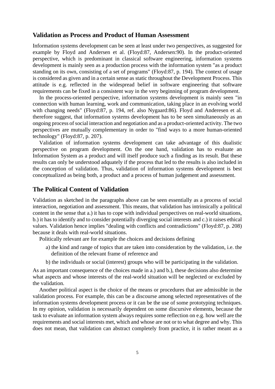#### **Validation as Process and Product of Human Assessment**

Information systems development can be seen at least under two perspectives, as suggested for example by Floyd and Andersen et al. (Floyd:87, Andersen:90). In the product-oriented perspective, which is predominant in classical software engineering, information systems development is mainly seen as a production process with the information system "as a product standing on its own, consisting of a set of programs" (Floyd:87, p. 194). The context of usage is considered as given and in a certain sense as static throughout the Development Process. This attitude is e.g. reflected in the widespread belief in software engineering that software requirements can be fixed in a consistent way in the very beginning of program development.

In the process-oriented perspective, information systems development is mainly seen "in connection with human learning, work and communication, taking place in an evolving world with changing needs" (Floyd:87, p. 194, ref. also Nygaard:86). Floyd and Anderesen et al. therefore suggest, that information systems development has to be seen simultaneously as an ongoing process of social interaction and negotiation and as a product-oriented activity. The two perspectives are mutually complementary in order to "find ways to a more human-oriented technology" (Floyd:87, p. 207).

Validation of information systems development can take advantage of this dualistic perspective on program development. On the one hand, validation has to evaluate an Information System as a product and will itself produce such a finding as its result. But these results can only be understood adquately if the process that led to the results is also included in the conception of validation. Thus, validation of information systems development is best conceptualized as being both, a product and a process of human judgement and assessment.

### **The Political Content of Validation**

Validation as sketched in the paragraphs above can be seen essentially as a process of social interaction, negotiation and assessment. This means, that validation has intrinsically a political content in the sense that a.) it has to cope with individual perspectives on real-world situations, b.) it has to identify and to consider potentially diverging social interests and c.) it raises ethical values. Validation hence implies "dealing with conflicts and contradictions" (Floyd:87, p. 208) because it deals with real-world situations.

Politically relevant are for example the choices and decisions defining

- a) the kind and range of topics that are taken into consideration by the validation, i.e. the definition of the relevant frame of reference and
- b) the individuals or social (interest) groups who will be participating in the validation.

As an important consequence of the choices made in a.) and b.), these decisions also determine what aspects and whose interests of the real-world situation will be neglected or excluded by the validation.

Another political aspect is the choice of the means or procedures that are admissible in the validation process. For example, this can be a discourse among selected representatives of the information systems development process or it can be the use of some prototyping techniques. In my opinion, validation is necessarily dependent on some discursive elements, because the task to evaluate an information system always requires some reflection on e.g. how well are the requirements and social interests met, which and whose are not or to what degree and why. This does not mean, that validation can abstract completely from practice, it is rather meant as a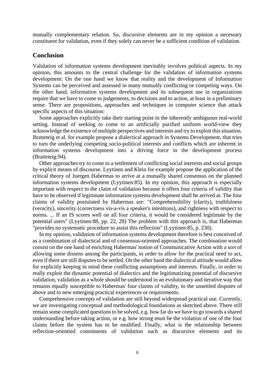mutually complementary relation. So, discursive elements are in my opinion a necessary constituent for validation, even if they solely can never be a sufficient condition of validation.

#### **Conclusion**

Validation of information systems development inevitably involves political aspects. In my opinion, this amounts to the central challenge for the validation of information systems development: On the one hand we know that reality and the development of Information Systems can be perceived and assessed in many mutually conflicting or competing ways. On the other hand, information systems development and its subsequent use in organizations require that we have to come to judgements, to decisions and to action, at least in a preliminary sense. There are propositions, approaches and techniques in computer science that attack specific aspects of this situation:

Some approaches explicitly take their starting point in the inherently ambiguous real-world setting. Instead of seeking to come to an artificially purified uniform world-view they acknowledge the existence of multiple perspectives and interests and try to exploit this situation. Bratteteig et al. for example propose a dialectical approach in Systems Development, that tries to turn the underlying competing socio-political interests and conflicts which are inherent in information systems development into a driving force in the development process (Bratteteig:94).

Other approaches try to come to a settlement of conflicting social interests and social groups by explicit means of discourse. Lyytinen and Klein for example propose the application of the critical theory of Juergen Habermas to arrive at a mutually shared consensus on the planned information systems development (Lyytinen:85). In my opinion, this approach is especially important with respect to the claim of validation because it offers four criteria of validity that have to be observed if legitimate information systems development shall be arrived at. The four claims of validity postulated by Habermas are: "Comprehensibility (clarity), truthfulness (veracity), sincerity (correctness vis-a-vis a speaker's intentions), and rightness with respect to norms. ... If an IS scores well on all four criteria, it would be considered legitimate by the potential users" (Lyytinen:88, pp. 22, 28) The problem with this approach is, that Habermas "provides no systematic procedure to assist this reflection" (Lyytinen:85, p. 230).

In my opinion, validation of information systems development therefore is best conceived of as a combination of dialectical and of consensus-oriented approaches. The combination would consist on the one hand of enriching Habermas' notion of Communicative Action with a sort of allowing some dissens among the participants, in order to allow for the practical need to act, even if there are still disputes to be settled. On the other hand the dialectical attitude would allow for explicitly keeping in mind these conflicting assumptions and interests. Finally, in order to really exploit the dynamic potential of dialectics and the legitimatizing potential of discursive validation, validation as a whole should be understood in an evolutionary and iterative way that remains equally susceptible to Habermas' four claims of validity, to the unsettled disputes of above and to new emerging practical experiences or requirements.

Comprehensive concepts of validation are still beyond widespread practical use. Currently, we are investigating conceptual and methodological foundations as sketched above. There still remain some complicated questions to be solved, e.g. how far do we have to go towards a shared understanding before taking action, or e.g. how strong must be the violation of one of the four claims before the system has to be modified. Finally, what is the relationship between reflection-orientied constituents of validation such as discursive elements and its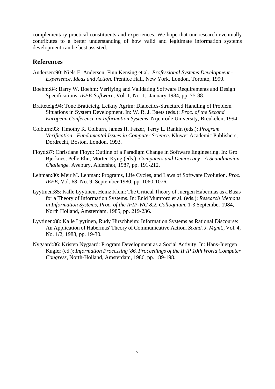complementary practical constituents and experiences. We hope that our research eventually contributes to a better understanding of how valid and legitimate information systems development can be best assisted.

#### **References**

- Andersen:90: Niels E. Andersen, Finn Kensing et al.: *Professional Systems Development - Experience, Ideas and Action.* Prentice Hall, New York, London, Toronto, 1990.
- Boehm:84: Barry W. Boehm: Verifying and Validating Software Requirements and Design Specifications. *IEEE-Software*, Vol. 1, No. 1, January 1984, pp. 75-88.
- Bratteteig:94: Tone Bratteteig, Leikny Agrim: Dialectics-Structured Handling of Problem Situations in System Development. In: W. R. J. Baets (eds.): *Proc. of the Second European Conference on Information Systems*, Nijenrode University, Breukelen, 1994.
- Colburn:93: Timothy R. Colburn, James H. Fetzer, Terry L. Rankin (eds.): *Program Verification - Fundamental Issues in Computer Science*. Kluwer Academic Publishers, Dordrecht, Boston, London, 1993.
- Floyd:87: Christiane Floyd: Outline of a Paradigm Change in Software Engineering. In: Gro Bjerknes, Pelle Ehn, Morten Kyng (eds.): *Computers and Democracy - A Scandinavian Challenge.* Avebury, Aldershot, 1987, pp. 191-212.
- Lehman:80: Meir M. Lehman: Programs, Life Cycles, and Laws of Software Evolution. *Proc. IEEE*, Vol. 68, No. 9, September 1980, pp. 1060-1076.
- Lyytinen:85: Kalle Lyytinen, Heinz Klein: The Critical Theory of Juergen Habermas as a Basis for a Theory of Information Systems. In: Enid Mumford et al. (eds.): *Research Methods in Information Systems, Proc. of the IFIP-WG 8.2. Colloquium*, 1-3 September 1984, North Holland, Amsterdam, 1985, pp. 219-236.
- Lyytinen:88: Kalle Lyytinen, Rudy Hirschheim: Information Systems as Rational Discourse: An Application of Habermas' Theory of Communicative Action. *Scand. J. Mgmt.*, Vol. 4, No. 1/2, 1988, pp. 19-30.
- Nygaard:86: Kristen Nygaard: Program Development as a Social Activity. In: Hans-Juergen Kugler (ed.): *Information Processing '86. Proceedings of the IFIP 10th World Computer Congress*, North-Holland, Amsterdam, 1986, pp. 189-198.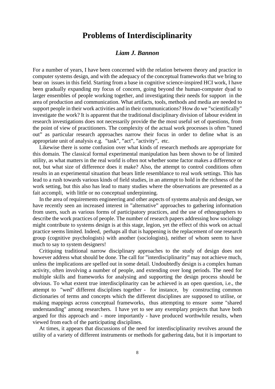## **Problems of Interdisciplinarity**

## *Liam J. Bannon*

For a number of years, I have been concerned with the relation between theory and practice in computer systems design, and with the adequacy of the conceptual frameworks that we bring to bear on issues in this field. Starting from a base in cognitive science-inspired HCI work, I have been gradually expanding my focus of concern, going beyond the human-computer dyad to larger ensembles of people working together, and investigating their needs for support in the area of production and communication. What artifacts, tools, methods and media are needed to support people in their work activities and in their communications? How do we "scientifically" investigate the work? It is apparent that the traditional disciplinary division of labour evident in research investigations does not necessarily provide the the most useful set of questions, from the point of view of practitioners. The complexity of the actual work processes is often "tuned out" as particular research approaches narrow their focus in order to define what is an appropriate unit of analysis e.g. "task", "act", "activity", etc.

Likewise there is some confusion over what kinds of research methods are appropriate for this domain. The classical formal experimental manipulation has been shown to be of limited utility, as what matters in the real world is often not whether some factor makes a difference or not, but what size of difference does it make? Also, the attempt to control conditions often results in an experimental situation that bears little resemblance to real work settings. This has lead to a rush towards various kinds of field studies, in an attempt to hold in the richness of the work setting, but this also has lead to many studies where the observations are presented as a fait accompli, with little or no conceptual underpinning.

In the area of requirements engineering and other aspects of systems analysis and design, we have recently seen an increased interest in "alternative" approaches to gathering information from users, such as various forms of participatory practices, and the use of ethnographers to describe the work practices of people. The number of research papers addressing how sociology might contribute to systems design is at this stage, legion, yet the effect of this work on actual practice seems limited. Indeed, perhaps all that is happening is the replacement of one research group (cognitive psychologists) with another (sociologists), neither of whom seem to have much to say to system designers!

Critiquing traditional narrow disciplinary approaches to the study of design does not however address what should be done. The call for "interdisciplinarity" may not achieve much, unless the implications are spelled out in some detail. Undoubtedly design is a complex human activity, often involving a number of people, and extending over long periods. The need for multiple skills and frameworks for analysing and supporting the design process should be obvious. To what extent true interdisciplinarity can be achieved is an open question, i.e., the attempt to "wed" different disciplines together - for instance, by constructing common dictionaries of terms and concepts which the different disciplines are supposed to utilise, or making mappings across conceptual frameworks, thus attempting to ensure some "shared understanding" among researchers. I have yet to see any exemplary projects that have both argued for this approach and - more importantly - have produced worthwhile results, when viewed from each of the participating disciplines.

At times, it appears that discussions of the need for interdisciplinarity revolves around the utility of a variety of different instruments or methods for gathering data, but it is important to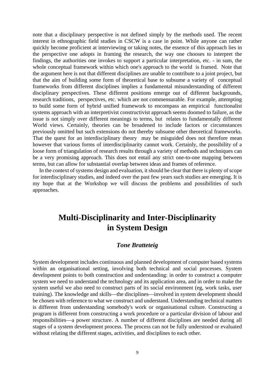note that a disciplinary perspective is not defined simply by the methods used. The recent interest in ethnographic field studies in CSCW is a case in point. While anyone can rather quickly become proficient at interviewing or taking notes, the essence of this approach lies in the perspective one adopts in framing the research, the way one chooses to interpret the findings, the authorities one invokes to support a particular interpretation, etc. - in sum, the whole conceptual framework within which one's approach to the world is framed. Note that the argument here is not that different disciplines are unable to contribute to a joint project, but that the aim of building some form of theoretical base to subsume a variety of conceptual frameworks from different disciplines implies a fundamental misunderstanding of different disciplinary perspectives. These different positions emerge out of different backgrounds, research traditions, perspectives, etc. which are not commensurable. For example, attempting to build some form of hybrid unified framework to encompass an empirical functionalist systems approach with an interpretivist constructivist approach seems doomed to failure, as the issue is not simply over different meanings to terms, but relates to fundamentally different World views. Certainly, theories can be broadened to include factors or circumstances previously omitted but such extensions do not thereby subsume other theoretical frameworks. That the quest for an interdisciplinary theory may be misguided does not therefore mean however that various forms of interdisciplinarity cannot work. Certainly, the possibility of a loose form of triangulation of research results through a variety of methods and techniques can be a very promising approach. This does not entail any strict one-to-one mapping between terms, but can allow for substantial overlap between ideas and frames of reference.

In the context of systems design and evaluation, it should be clear that there is plenty of scope for interdisciplinary studies, and indeed over the past few years such studies are emerging. It is my hope that at the Workshop we will discuss the problems and possibilities of such approaches.

# **Multi-Disciplinarity and Inter-Disciplinarity in System Design**

## *Tone Bratteteig*

System development includes continuous and planned development of computer based systems within an organisational setting, involving both technical and social processes. System development points to both construction and understanding: in order to construct a computer system we need to understand the technology and its application area, and in order to make the system useful we also need to construct parts of its social environment (eg, work tasks, user training). The knowledge and skills—the disciplines—involved in system development should be chosen with reference to what we construct and understand. Understanding technical matters is different from understanding somebody's work or organisational culture. Constructing a program is different from constructing a work procedure or a particular division of labour and responsibilities—a power structure. A number of different disciplines are needed during all stages of a system development process. The process can not be fully understood or evaluated without relating the different stages, activities, and disciplines to each other.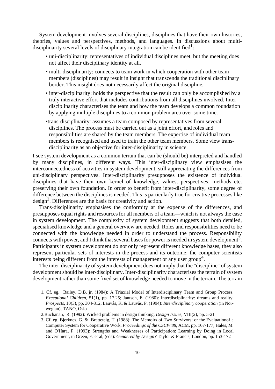System development involves several disciplines, disciplines that have their own histories, theories, values and perspectives, methods, and languages. In discussions about multidisciplinarity several levels of disciplinary integration can be identified<sup>1</sup>:

- uni-disciplinarity: representatives of individual disciplines meet, but the meeting does not affect their disciplinary identity at all.
- multi-disciplinarity: connects to team work in which cooperation with other team members (disciplines) may result in insight that transcends the traditional disciplinary border. This insight does not necessarily affect the original discipline.
- inter-disciplinarity: holds the perspective that the result can only be accomplished by a truly interactive effort that includes contributions from all disciplines involved. Interdisciplinarity characterises the team and how the team develops a common foundation by applying multiple disciplines to a common problem area over some time.
- •trans-disciplinarity: assumes a team composed by representatives from several disciplines. The process must be carried out as a joint effort, and roles and responsibilities are shared by the team members. The expertise of individual team members is recognised and used to train the other team members. Some view transdisciplinarity as an objective for inter-disciplinarity in science.

I see system development as a common terrain that can be (should be) interpreted and handled by many disciplines, in different ways. This inter-disciplinary view emphasises the interconnectedness of activities in system development, still appreciating the differences from uni-disciplinary perspectives. Inter-disciplinarity presupposes the existence of individual disciplines that have their own kernel of knowledge, values, perspectives, methods etc. preserving their own foundation. In order to benefit from inter-disciplinarity, some degree of difference between the disciplines is needed. This is particularly true for creative processes like design<sup>2</sup>. Differences are the basis for creativity and action.

Trans-disciplinarity emphasises the conformity at the expense of the differences, and presupposes equal rights and resources for all members of a team—which is not always the case in system development. The complexity of system development suggests that both detailed, specialised knowledge and a general overview are needed. Roles and responsibilities need to be connected with the knowledge needed in order to understand the process. Responsibility connects with power, and I think that several bases for power is needed in system development<sup>3</sup>. Participants in system development do not only represent different knowledge bases, they also represent particular sets of interests in the process and its outcome: the computer scientists interests being different from the interests of management or any user group<sup>4</sup>.

The inter-disciplinarity of system development does not imply that the "discipline" of system development should be inter-disciplinary. Inter-disciplinarity characterises the terrain of system development rather than some fixed set of knowledge needed to move in the terrain. The terrain

<sup>1.</sup> Cf. eg, Bailey, D.B. jr. (1984): A Triaxial Model of Interdisciplinary Team and Group Process. *Exceptional Children*, 51(1), pp. 17.25; Jantsch, E. (1980): Interdisciplinarity: dreams and reality. *Prospects*, 10(3), pp. 304-312; Lauvås, K. & Lauvås, P. (1994): *Interdisciplinary cooperation* (in Norwegian), TANO, Oslo

<sup>2.</sup>Buchanan, R. (1992): Wicked problems in design thinking, *Design Issues*, VIII(2), pp. 5-21

<sup>3.</sup> Cf. eg, Bjerknes, G. & Bratteteig, T. (1988): The Memoirs of Two Survivors: or the Evaluationof a Computer System for Cooperative Work, *Proceedings of the CSCW'88*, ACM, pp. 167-177; Hales, M. and O'Hara, P. (1993): Strengths and Weaknesses of Participation: Learning by Doing in Local Government, in Green, E. et al, (eds): *Gendered by Design?* Taylor & Francis, London, pp. 153-172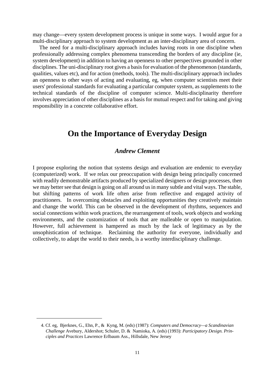may change—every system development process is unique in some ways. I would argue for a multi-disciplinary approach to system development as an inter-disciplinary area of concern.

The need for a multi-disciplinary approach includes having roots in one discipline when professionally addressing complex phenomena transcending the borders of any discipline (ie, system development) in addition to having an openness to other perspectives grounded in other disciplines. The uni-disciplinary root gives a basis for evaluation of the phenomenon (standards, qualities, values etc), and for action (methods, tools). The multi-disciplinary approach includes an openness to other ways of acting and evaluating, eg, when computer scientists meet their users' professional standards for evaluating a particular computer system, as supplements to the technical standards of the discipline of computer science. Multi-disciplinarity therefore involves appreciation of other disciplines as a basis for mutual respect and for taking and giving responsibility in a concrete collaborative effort.

## **On the Importance of Everyday Design**

## *Andrew Clement*

I propose exploring the notion that systems design and evaluation are endemic to everyday (computerized) work. If we relax our preoccupation with design being principally concerned with readily demonstrable artifacts produced by specialized designers or design processes, then we may better see that design is going on all around us in many subtle and vital ways. The stable, but shifting patterns of work life often arise from reflective and engaged activity of practitioners. In overcoming obstacles and exploiting opportunities they creatively maintain and change the world. This can be observed in the development of rhythms, sequences and social connections within work practices, the rearrangement of tools, work objects and working environments, and the customization of tools that are malleable or open to manipulation. However, full achievement is hampered as much by the lack of legitimacy as by the unsophistication of technique. Reclaiming the authority for everyone, individually and collectively, to adapt the world to their needs, is a worthy interdisciplinary challenge.

<sup>4.</sup> Cf. eg, Bjerknes, G., Ehn, P., & Kyng, M. (eds) (1987): *Computers and Democracy—a Scandinavian Challenge* Avebury, Aldershot; Schuler, D. & Namioka, A. (eds) (1993): *Participatory Design. Principles and Practices* Lawrence Erlbaum Ass., Hillsdale, New Jersey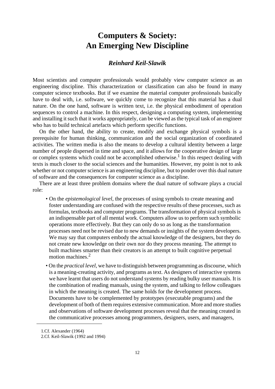# **Computers & Society: An Emerging New Discipline**

## *Reinhard Keil-Slawik*

Most scientists and computer professionals would probably view computer science as an engineering discipline. This characterization or classification can also be found in many computer science textbooks. But if we examine the material computer professionals basically have to deal with, i.e. software, we quickly come to recognize that this material has a dual nature. On the one hand, software is written text, i.e. the physical embodiment of operation sequences to control a machine. In this respect, designing a computing system, implementing and installing it such that it works appropriately, can be viewed as the typical task of an engineer who has to build technical artefacts which perform specific functions.

On the other hand, the ability to create, modify and exchange physical symbols is a prerequisite for human thinking, communication and the social organization of coordinated activities. The written media is also the means to develop a cultural identity between a large number of people dispersed in time and space, and it allows for the cooperative design of large or complex systems which could not be accomplished otherwise.<sup>1</sup> In this respect dealing with texts is much closer to the social sciences and the humanities. However, my point is not to ask whether or not computer science is an engineering discipline, but to ponder over this dual nature of software and the consequences for computer science as a discipline.

There are at least three problem domains where the dual nature of software plays a crucial role:

- On the *epistemological level*, the processes of using symbols to create meaning and foster understanding are confused with the respective results of these processes, such as formulas, textbooks and computer programs. The transformation of physical symbols is an indispensable part of all mental work. Computers allow us to perform such symbolic operations more effectively. But they can only do so as long as the transformation processes need not be revised due to new demands or insights of the system developers. We may say that computers embody the actual knowledge of the designers, but they do not create new knowledge on their own nor do they process meaning. The attempt to built machines smarter than their creators is an attempt to built cognitive perpetual motion machines.2
- On the *practical level*, we have to distinguish between programming as discourse, which is a meaning-creating activity, and programs as text. As designers of interactive systems we have learnt that users do not understand systems by reading bulky user manuals. It is the combination of reading manuals, using the system, and talking to fellow colleagues in which the meaning is created. The same holds for the development process. Documents have to be complemented by prototypes (executable programs) and the development of both of them requires extensive communication. More and more studies and observations of software development processes reveal that the meaning created in the communicative processes among programmers, designers, users, and managers,

<sup>1.</sup>Cf. Alexander (1964)

<sup>2.</sup>Cf. Keil-Slawik (1992 and 1994)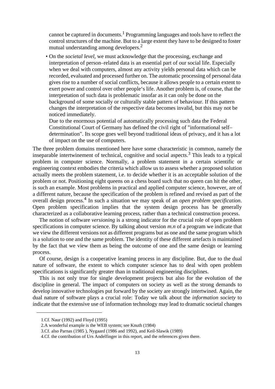cannot be captured in documents.<sup>1</sup> Programming languages and tools have to reflect the control structures of the machine. But to a large extent they have to be designed to foster mutual understanding among developers.<sup>2</sup>

• On the *societal level*, we must acknowledge that the processing, exchange and interpretation of person–related data is an essential part of our social life. Especially when we deal with computers, almost any activity yields personal data which can be recorded, evaluated and processed further on. The automatic processing of personal data gives rise to a number of social conflicts, because it allows people to a certain extent to exert power and control over other people's life. Another problem is, of course, that the interpretation of such data is problematic insofar as it can only be done on the background of some socially or culturally stable pattern of behaviour. If this pattern changes the interpretation of the respective data becomes invalid, but this may not be noticed immediately.

Due to the enormous potential of automatically processing such data the Federal Constitutional Court of Germany has defined the civil right of "informational self– determination". Its scope goes well beyond traditional ideas of privacy, and it has a lot of impact on the use of computers.

The three problem domains mentioned here have some characteristic in common, namely the inseparable intertwinement of technical, cognitive and social aspects.<sup>3</sup> This leads to a typical problem in computer science. Normally, a problem statement in a certain scientific or engineering context embodies the criteria which allow us to assess whether a proposed solution actually meets the problem statement, i.e. to decide whether it is an acceptable solution of the problem or not. Positioning eight queens on a chess board such that no queen can hit the other, is such an example. Most problems in practical and applied computer science, however, are of a different nature, because the specification of the problem is refined and revised as part of the overall design process.4 In such a situation we may speak of an *open problem specification*. Open problem specification implies that the system design process has be generally characterized as a collaborative learning process, rather than a technical construction process.

The notion of software *versioning* is a strong indicator for the crucial role of open problem specifications in computer science. By talking about version *m.n* of a program we indicate that we view the different versions not as different programs but as one and the same program which is a solution to one and the same problem. The identity of these different artefacts is maintained by the fact that we view them as being the outcome of one and the same design or learning process.

Of course, design is a cooperative learning process in any discipline. But, due to the dual nature of software, the extent to which computer science has to deal with open problem specifications is significantly greater than in traditional engineering disciplines.

This is not only true for single development projects but also for the evolution of the discipline in general. The impact of computers on society as well as the strong demands to develop innovative technologies put forward by the society are strongly intertwined. Again, the dual nature of software plays a crucial role: Today we talk about the *information society* to indicate that the extensive use of information technology may lead to dramatic societal changes

<sup>1.</sup>Cf. Naur (1992) and Floyd (1995)

<sup>2.</sup>A wonderful example is the WEB system; see Knuth (1984)

<sup>3.</sup>Cf. also Parnas (1985 ), Nygaard (1986 and 1992), and Keil-Slawik (1989)

<sup>4.</sup>Cf. the contribution of Urs Andelfinger in this report, and the references given there.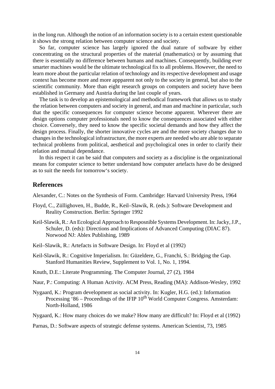in the long run. Although the notion of an information society is to a certain extent questionable it shows the strong relation between computer science and society.

So far, computer science has largely ignored the dual nature of software by either concentrating on the structural properties of the material (mathematics) or by assuming that there is essentially no difference between humans and machines. Consequently, building ever smarter machines would be the ultimate technological fix to all problems. However, the need to learn more about the particular relation of technology and its respective development and usage context has become more and more appparent not only to the society in general, but also to the scientific community. More than eight research groups on computers and society have been established in Germany and Austria during the last couple of years.

The task is to develop an epistemological and methodical framework that allows us to study the relation between computers and society in general, and man and machine in particular, such that the specific consequences for computer science become apparent. Wherever there are design options computer professionals need to know the consequences associated with either choice. Conversely, they need to know the specific societal demands and how they affect the design process. Finally, the shorter innovative cycles are and the more society changes due to changes in the technological infrastructure, the more experts are needed who are able to separate technical problems from political, aesthetical and psychological ones in order to clarify their relation and mutual dependance.

In this respect it can be said that computers and society as a discipline is the organizational means for computer science to better understand how computer artefacts have do be designed as to suit the needs for tomorrow's society.

#### **References**

Alexander, C.: Notes on the Synthesis of Form. Cambridge: Harvard University Press, 1964

- Floyd, C., Züllighoven, H., Budde, R., Keil–Slawik, R. (eds.): Software Development and Reality Construction. Berlin: Springer 1992
- Keil-Slawik, R.: An Ecological Approach to Resposnible Systems Development. In: Jacky, J.P., Schuler, D. (eds): Directions and Implications of Advanced Computing (DIAC 87). Norwood NJ: Ablex Publishing, 1989
- Keil–Slawik, R.: Artefacts in Software Design. In: Floyd et al (1992)
- Keil-Slawik, R.: Cognitive Imperialism. In: Güzeldere, G., Franchi, S.: Bridging the Gap. Stanford Humanities Review, Supplement to Vol. 1, No. 1, 1994.
- Knuth, D.E.: Literate Programming. The Computer Journal, 27 (2), 1984
- Naur, P.: Computing: A Human Activity. ACM Press, Reading (MA): Addison-Wesley, 1992
- Nygaard, K.: Program development as social activity. In: Kugler, H.G. (ed.): Information Processing '86 – Proceedings of the IFIP  $10^{th}$  World Computer Congress. Amsterdam: North-Holland, 1986

Nygaard, K.: How many choices do we make? How many are difficult? In: Floyd et al (1992)

Parnas, D.: Software aspects of strategic defense systems. American Scientist, 73, 1985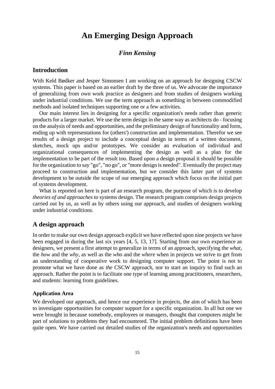## **An Emerging Design Approach**

## *Finn Kensing*

## **Introduction**

With Keld Bødker and Jesper Simonsen I am working on an approach for designing CSCW systems. This paper is based on an earlier draft by the three of us. We advocate the importance of generalizing from own work practice as designers and from studies of designers working under industrial conditions. We use the term approach as something in between commodified methods and isolated techniques supporting one or a few activities.

Our main interest lies in designing for a specific organization's needs rather than generic products for a larger market. We use the term design in the same way as architects do - focusing on the analysis of needs and opportunities, and the preliminary design of functionality and form, ending up with representations for (others') construction and implementation. Therefor we see results of a design project to include a conceptual design in terms of a written document, sketches, mock ups and/or prototypes. We consider an evaluation of individual and organizational consequences of implementing the design as well as a plan for the implementation to be part of the result too. Based upon a design proposal it should be possible for the organization to say "go", "no go", or "more design is needed". Eventually the project may proceed to construction and implementation, but we consider this latter part of systems development to be outside the scope of our emerging approach which focus on the initial part of systems development.

What is reported on here is part of an research program, the purpose of which is to develop *theories of and approaches to* systems design. The research program comprises design projects carried out by us, as well as by others using our approach, and studies of designers working under industrial conditions.

#### **A design approach**

In order to make our own design approach explicit we have reflected upon nine projects we have been engaged in during the last six years [4, 5, 13, 17]. Starting from our own experience as designers, we present a first attempt to generalize in terms of an approach, specifying the *what*, the *how* and the *why*, as well as the *who* and the *where* when in projects we strive to get from an understanding of cooperative work to designing computer support. The point is not to promote what we have done as *the* CSCW approach, nor to start an inquiry to find such an approach. Rather the point is to facilitate one type of learning among practitioners, researchers, and students: learning from guidelines.

#### **Application Area**

We developed our approach, and hence our experience in projects, the aim of which has been to investigate opportunities for computer support for a specific organization. In all but one we were brought in because somebody, employees or managers, thought that computers might be part of solutions to problems they had encountered. The initial problem definitions have been quite open. We have carried out detailed studies of the organization's needs and opportunities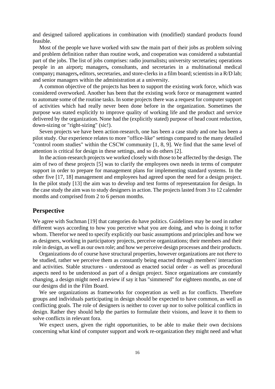and designed tailored applications in combination with (modified) standard products found feasible.

Most of the people we have worked with saw the main part of their jobs as problem solving and problem definition rather than routine work, and cooperation was considered a substantial part of the jobs. The list of jobs comprises: radio journalists**;** university secretaries**;** operations people in an airport**;** managers**,** consultants, and secretaries in a multinational medical company**;** managers**,** editors, secretaries, and store-clerks in a film board; scientists in a R/D lab; and senior managers within the administration at a university.

A common objective of the projects has been to support the existing work force, which was considered overworked. Another has been that the existing work force or management wanted to automate some of the routine tasks. In some projects there was a request for computer support of activities which had really never been done before in the organization. Sometimes the purpose was stated explicitly to improve quality of working life and the product and service delivered by the organization. None had the (explicitly stated) purpose of head count reduction, down-sizing or "right-sizing" (sic!).

Seven projects we have been action-research, one has been a case study and one has been a pilot study. Our experience relates to more "office-like" settings compared to the many detailed "control room studies" within the CSCW community [1, 8, 9]. We find that the same level of attention is critical for design in these settings, and so do others [2].

In the action-research projects we worked closely with those to be affected by the design. The aim of two of these projects [5] was to clarify the employees own needs in terms of computer support in order to prepare for management plans for implementing standard systems. In the other five [17, 18] management and employees had agreed upon the need for a design project. In the pilot study [13] the aim was to develop and test forms of representataion for design. In the case study the aim was to study designers in action. The projects lasted from 3 to 12 calender months and comprised from 2 to 6 person months.

#### **Perspective**

We agree with Suchman [19] that categories do have politics. Guidelines may be used in rather different ways according to how you perceive what you are doing, and who is doing it to/for whom. Therefor we need to specify explicitly our basic assumptions and principles and how we as designers, working in participatory projects, perceive organizations; their members and their role in design, as well as our own role; and how we perceive design processes and their products.

Organizations do of course have structural properties, however organizations are not *there* to be studied, rather we perceive them as constantly being enacted through members' interaction and activities. Stable structures - understood as enacted social order - as well as procedural aspects need to be understood as part of a design project. Since organizations are constantly changing, a design might need a review if say it has "simmered" for eighteen months, as one of our designs did in the Film Board.

We see organizations as frameworks for cooperation as well as for conflicts. Therefore groups and individuals participating in design should be expected to have common, as well as conflicting goals. The role of designers is neither to cover up nor to solve political conflicts in design. Rather they should help the parties to formulate their visions, and leave it to them to solve conflicts in relevant fora.

We expect users, given the right opportunities, to be able to make their own decisions concerning what kind of computer support and work re-organization they might need and what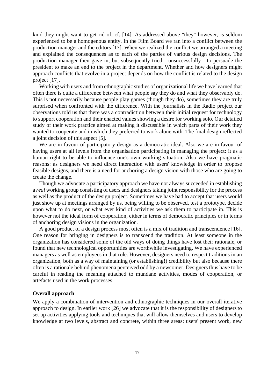kind they might want to get rid of, cf. [14]. As addressed above "they" however, is seldom experienced to be a homogenous entity. In the Film Board we ran into a conflict between the production manager and the editors [17]. When we realized the conflict we arranged a meeting and explained the consequences as to each of the parties of various design decisions. The production manager then gave in, but subsequently tried - unsuccessfully - to persuade the president to make an end to the project in the department. Whether and how designers might approach conflicts that evolve in a project depends on how the conflict is related to the design project [17].

Working with users and from ethnographic studies of organizational life we have learned that often there is quite a difference between what people say they do and what they observably do. This is not necessarily because people play games (though they do), sometimes they are truly surprised when confronted with the difference. With the journalists in the Radio project our observations told us that there was a contradiction between their initial request for technology to support cooperation and their enacted values showing a desire for working solo. Our detailed study of their work practice aimed at making it discussible in which parts of their work they wanted to cooperate and in which they preferred to work alone with. The final design reflected a joint decision of this aspect [5].

We are in favour of participatory design as a democratic ideal. Also we are in favour of having users at all levels from the organisation participating in managing the project: it as a human right to be able to influence one's own working situation. Also we have pragmatic reasons: as designers we need direct interaction with users' knowledge in order to propose feasible designs, and there is a need for anchoring a design vision with those who are going to create the change.

Though we advocate a participatory approach we have not always succeeded in establishing a *real* working group consisting of users and designers taking joint responsibility for the process as well as the product of the design project. Sometimes we have had to accept that users would just show up at meetings arranged by us, being willing to be observed, test a prototype, decide upon what to do next, or what ever kind of activities we ask them to participate in. This is however not the ideal form of cooperation, either in terms of democratic principles or in terms of anchoring design visions in the organization.

A good product of a design process most often is a mix of tradition and transcendence [16]. One reason for bringing in designers is to transcend the tradition. At least someone in the organization has considered some of the old ways of doing things have lost their rationale, or found that new technological opportunities are worthwhile investigating. We have experienced managers as well as employees in that role. However, designers need to respect traditions in an organization, both as a way of maintaining (or establishing!) credibility but also because there often is a rationale behind phenomena perceived odd by a newcomer. Designers thus have to be careful in reading the meaning attached to mundane activities, modes of cooperation, or artefacts used in the work processes.

#### **Overall approach**

We apply a combination of intervention and ethnographic techniques in our overall iterative approach to design. In earlier work [26] we advocate that it is the responsibility of designers to set up activities applying tools and techniques that will allow themselves and users to develop knowledge at two levels, abstract and concrete, within three areas: users' present work, new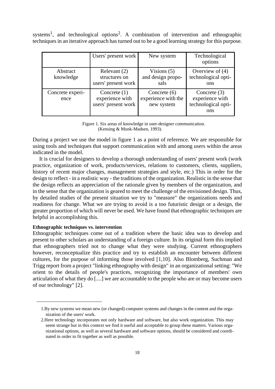systems<sup>1</sup>, and technological options<sup>2</sup>. A combination of intervention and ethnographic techniques in an iterative approach has turned out to be a good learning strategy for this purpose.

|                          | Users' present work                                      | New system                                          | Technological<br>options                                        |
|--------------------------|----------------------------------------------------------|-----------------------------------------------------|-----------------------------------------------------------------|
| Abstract<br>knowledge    | Relevant (2)<br>structures on<br>users' present work     | Visions $(5)$<br>and design propo-<br>sals          | Overview of $(4)$<br>technological opti-<br>ons                 |
| Concrete experi-<br>ence | Concrete $(1)$<br>experience with<br>users' present work | Concrete $(6)$<br>experience with the<br>new system | Concrete $(3)$<br>experience with<br>technological opti-<br>ons |

Figure 1. Six areas of knowledge in user-designer communication. (Kensing & Munk-Madsen, 1993).

During a project we use the model in figure 1 as a point of reference. We are responsible for using tools and techniques that support communication with and among users within the areas indicated in the model.

It is crucial for designers to develop a thorough understanding of users' present work (work practice, organization of work, products/services, relations to customers, clients, suppliers, history of recent major changes, management strategies and style, etc.) This in order for the design to reflect - in a realistic way - the traditions of the organization. Realistic in the sense that the design reflects an appreciation of the rationale given by members of the organization, and in the sense that the organization is geared to meet the challenge of the envisioned design. Thus, by detailed studies of the present situation we try to "measure" the organizations needs and readiness for change. What we are trying to avoid is a too futuristic design or a design, the greater proportion of which will never be used. We have found that ethnographic techniques are helpful in accomplishing this.

#### **Ethnographic techniques vs. intervention**

Ethnographic techniques come out of a tradition where the basic idea was to develop and present to other scholars an understanding of a foreign culture. In its original form this implied that ethnographers tried not to change what they were studying. Current ethnographers however, reconceptualize this practice and try to establish an encounter between different cultures, for the purpose of informing those involved [1,10]. Also Blomberg, Suchman and Trigg report from a project "linking ethnography with design" in an organizational setting: "We orient to the details of people's practices, recognizing the importance of members' own articulation of what they do [....] we are accountable to the people who are or may become users of our technology" [2].

<sup>1.</sup>By new systems we mean new (or changed) computer systems and changes in the content and the organization of the users' work.

<sup>2.</sup>Here technology incorporates not only hardware and software, but also work organization. This may seem strange but in this context we find it useful and acceptable to group these matters. Various organizational options, as well as several hardware and software options, should be considered and coordinated in order to fit together as well as possible.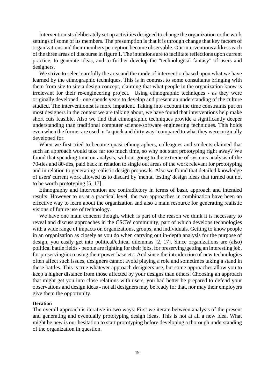Interventionists deliberately set up activities designed to change the organization or the work settings of some of its members. The presumption is that it is through change that key factors of organizations and their members perception become observable. Our interventions address each of the three areas of discourse in figure 1. The intentions are to facilitate reflections upon current practice, to generate ideas, and to further develop the "technological fantasy" of users and designers.

We strive to select carefully the area and the mode of intervention based upon what we have learned by the ethnographic techniques. This is in contrast to some consultants bringing with them from site to site a design concept, claiming that what people in the organization know is irrelevant for their re-engineering project. Using ethnographic techniques - as they were originally developed - one spends years to develop and present an understanding of the culture studied. The interventionist is more impatient. Taking into account the time constraints put on most designers in the context we are talking about, we have found that interventions help make short cuts feasible. Also we find that ethnographic techniques provide a significantly deeper understanding than traditional computer science/software engineering techniques. This holds even when the former are used in "a quick and dirty way" compared to what they were originally developed for.

When we first tried to become quasi-ethnographers, colleagues and students claimed that such an approach would take far too much time, so why not start prototyping right away? We found that spending time on analysis, without going to the extreme of systems analysis of the 70-ties and 80-ties, paid back in relation to single out areas of the work relevant for prototyping and in relation to generating realistic design proposals. Also we found that detailed knowledge of users' current work allowed us to discard by 'mental testing' design ideas that turned out not to be worth prototyping [5, 17].

Ethnography and intervention are contradictory in terms of basic approach and intended results. However to us at a practical level, the two approaches in combination have been an effective way to learn about the organization and also a main resource for generating realistic visions of future use of technology.

We have one main concern though, which is part of the reason we think it is necessary to reveal and discuss approaches in the CSCW community, part of which develops technologies with a wide range of impacts on organizations, groups, and individuals. Getting to know people in an organization as closely as you do when carrying out in-depth analysis for the purpose of design, you easily get into political/ethical dilemmas [2, 17]. Since organizations are (also) political battle fields - people are fighting for their jobs, for preserving/getting an interesting job, for preserving/increasing their power base etc. And since the introduction of new technologies often affect such issues, designers cannot avoid playing a role and sometimes taking a stand in these battles. This is true whatever approach designers use, but some approaches allow you to keep a higher distance from those affected by your designs than others. Choosing an approach that might get you into close relations with users, you had better be prepared to defend your observations and design ideas - not all designers may be ready for that, nor may their employers give them the opportunity.

#### **Iteration**

The overall approach is iterative in two ways. First we iterate between analysis of the present and generating and eventually prototyping design ideas. This is not at all a new idea. What might be new is our hesitation to start prototyping before developing a thorough understanding of the organization in question.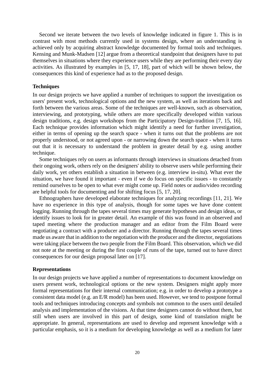Second we iterate between the two levels of knowledge indicated in figure 1. This is in contrast with most methods currently used in systems design, where an understanding is achieved only by acquiring abstract knowledge documented by formal tools and techniques. Kensing and Munk-Madsen [12] argue from a theoretical standpoint that designers have to put themselves in situations where they experience users while they are performing their every day activities. As illustrated by examples in [5, 17, 18], part of which will be shown below, the consequences this kind of experience had as to the proposed design.

#### **Techniques**

In our design projects we have applied a number of techniques to support the investigation os users' present work, technological options and the new system, as well as iterations back and forth between the various areas. Some of the techniques are well-known, such as observation, interviewing, and prototyping, while others are more specifically developed within various design traditions, e.g. design workshops from the Participatory Design-tradition [7, 15, 16]. Each technique provides information which might identify a need for further investigation, either in terms of opening up the search space - when it turns out that the problems are not properly understood, or not agreed upon - or narrowing down the search space - when it turns out that it is necessary to understand the problem in greater detail by e.g. using another technique.

Some techniques rely on users as informants through interviews in situations detached from their ongoing work, others rely on the designers' ability to observe users while performing their daily work, yet others establish a situation in between (e.g. interview in-situ). What ever the situation, we have found it important - even if we do focus on specific issues - to constantly remind ourselves to be open to what ever might come up. Field notes or audio/video recording are helpful tools for documenting and for shifting focus [5, 17, 20].

Ethnographers have developed elaborate techniques for analyzing recordings [11, 21]. We have no experience in this type of analysis, though for some tapes we have done content logging. Running through the tapes several times may generate hypotheses and design ideas, or identify issues to look for in greater detail. An example of this was found in an observed and taped meeting where the production manager and an editor from the Film Board were negotiating a contract with a producer and a director. Running through the tapes several times made us aware that in addition to the negotiation with the producer and the director, negotiations were taking place between the two people from the Film Board. This observation, which we did not note at the meeting or during the first couple of runs of the tape, turned out to have direct consequences for our design proposal later on [17].

#### **Representations**

In our design projects we have applied a number of representations to document knowledge on users present work, technological options or the new system. Designers might apply more formal representations for their internal communication; e.g. in order to develop a prototype a consistent data model (e.g. an E/R model) has been used. However, we tend to postpone formal tools and techniques introducing concepts and symbols not common to the users until detailed analysis and implementation of the visions. At that time designers cannot do without them, but still when users are involved in this part of design, some kind of translation might be appropriate. In general, representations are used to develop and represent knowledge with a particular emphasis, so it is a medium for developing knowledge as well as a medium for later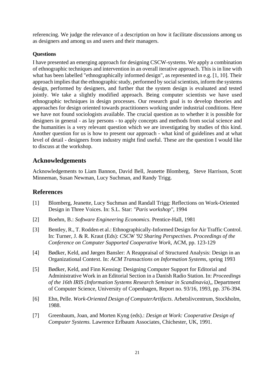referencing. We judge the relevance of a description on how it facilitate discussions among us as designers and among us and users and their managers.

#### **Questions**

I have presented an emerging approach for designing CSCW-systems. We apply a combination of ethnographic techniques and intervention in an overall iterative approach. This is in line with what has been labelled "ethnographically informed design", as represented in e.g. [1, 10]. Their approach implies that the ethnographic study, performed by social scientists, inform the systems design, performed by designers, and further that the system design is evaluated and tested jointly. We take a slightly modified approach. Being computer scientists we have used ethnographic techniques in design processes. Our research goal is to develop theories and approaches for design oriented towards practitioners working under industrial conditions. Here we have not found sociologists available. The crucial question as to whether it is possible for designers in general - as lay persons - to apply concepts and methods from social science and the humanities is a very relevant question which we are investigating by studies of this kind. Another question for us is how to present our approach - what kind of guidelines and at what level of detail - designers from industry might find useful. These are the question I would like to discuss at the workshop.

#### **Acknowledgements**

Acknowledgements to Liam Bannon, David Bell, Jeanette Blomberg, Steve Harrison, Scott Minneman, Susan Newman, Lucy Suchman, and Randy Trigg.

## **References**

- [1] Blomberg, Jeanette, Lucy Suchman and Randall Trigg: Reflections on Work-Oriented Design in Three Voices. In: S.L. Star: *"Paris workshop"*, 1994
- [2] Boehm, B.: *Software Engineering Economics*. Prentice-Hall, 1981
- [3] Bentley, R., T. Rodden et al.: Ethnographically-Informed Design for Air Traffic Control. In: Turner, J. & R. Kraut (Eds): *CSCW '92 Sharing Perspectives. Proceedings of the Conference on Computer Supported Cooperative Work*, ACM, pp. 123-129
- [4] Bødker, Keld, and Jørgen Bansler: A Reappraisal of Structured Analysis: Design in an Organizational Context. In: *ACM Transactions on Information Systems*, spring 1993
- [5] Bødker, Keld, and Finn Kensing: Designing Computer Support for Editorial and Administrative Work in an Editorial Section in a Danish Radio Station. In: *Proceedings of the 16th IRIS (Information Systems Research Seminar in Scandinavia),*, Department of Computer Science, University of Copenhagen, Report no. 93/16, 1993, pp. 376-394.
- [6] Ehn, Pelle. *Work-Oriented Design of ComputerArtifacts*. Arbetslivcentrum, Stockholm, 1988.
- [7] Greenbaum, Joan, and Morten Kyng (eds).: *Design at Work: Cooperative Design of Computer Systems.* Lawrence Erlbaum Associates, Chichester, UK, 1991.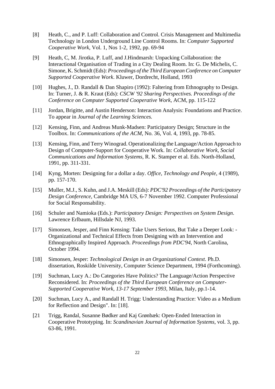- [8] Heath, C., and P. Luff: Collaboration and Control. Crisis Management and Multimedia Technology in London Underground Line Control Rooms. In: *Computer Supported Cooperative Work*, Vol. 1, Nos 1-2, 1992, pp. 69-94
- [9] Heath, C, M. Jirotka, P. Luff, and J.Hindmarsh: Unpacking Collaboration: the Interactional Organisation of Trading in a City Dealing Room. In: G. De Michelis, C. Simone, K. Schmidt (Eds): *Proceedings of the Third European Conference on Computer Supported Cooperative Work*. Kluwer, Dordrecht, Holland, 1993
- [10] Hughes, J., D. Randall & Dan Shapiro (1992): Faltering from Ethnography to Design. In: Turner, J. & R. Kraut (Eds): *CSCW '92 Sharing Perspectives. Proceedings of the Conference on Computer Supported Cooperative Work*, ACM, pp. 115-122
- [11] Jordan, Brigitte, and Austin Henderson: Interaction Analysis: Foundations and Practice. To appear in *Journal of the Learning Sciences.*
- [12] Kensing, Finn, and Andreas Munk-Madsen: Participatory Design; Structure in the Toolbox. In: *Communications of the ACM*, No. 36, Vol. 4, 1993, pp. 78-85.
- [13] Kensing, Finn, and Terry Winograd. Operationalizing the Language/Action Approach to Design of Computer-Support for Cooperative Work. In: *Collaborative Work, Social Communications and Information Systems*, R. K. Stamper et al. Eds. North-Holland, 1991, pp. 311-331.
- [14] Kyng, Morten: Designing for a dollar a day. *Office, Technology and People*, 4 (1989), pp. 157-170.
- [15] Muller, M.J., S. Kuhn, and J.A. Meskill (Eds): *PDC'92 Proceedings of the Participatory Design Conference*, Cambridge MA US, 6-7 November 1992. Computer Professional for Social Responsability.
- [16] Schuler and Namioka (Eds.): *Participatory Design: Perspectives on System Design*. Lawrence Erlbaum, Hillsdale NJ, 1993.
- [17] Simonsen, Jesper, and Finn Kensing: Take Users Serious, But Take a Deeper Look: Organizational and Technical Effects from Designing with an Intervention and Ethnographically Inspired Approach. *Proceedings from PDC'94*, North Carolina, October 1994.
- [18] Simonsen, Jesper: *Technological Design in an Organizational Context*. Ph.D. dissertation, Roskilde University, Computer Science Department, 1994 (Forthcoming).
- [19] Suchman, Lucy A.: Do Categories Have Politics? The Language/Action Perspective Reconsidered. In: *Proceedings of the Third European Conference on Computer-Supported Cooperative Work, 13-17 September 1993,* Milan, Italy, pp.1-14.
- [20] Suchman, Lucy A., and Randall H. Trigg: Understanding Practice: Video as a Medium for Reflection and Design". In: [18].
- [21 Trigg, Randal, Susanne Bødker and Kaj Grønbæk: Open-Ended Interaction in Cooperative Prototyping. In: *Scandinavian Journal of Information Systems,* vol. 3, pp. 63-86, 1991.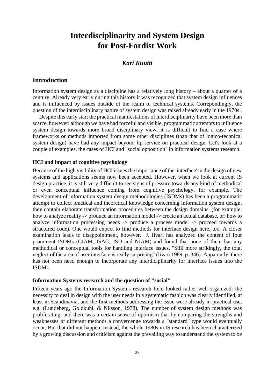# **Interdisciplinarity and System Design for Post-Fordist Work**

## *Kari Kuutti*

### **Introduction**

Information system design as a discipline has a relatively long history – about a quarter of a century. Already very early during this history it was recognized that system design influences and is influenced by issues outside of the realm of technical systems. Correpondingly, the question of the interdisciplinary nature of system design was raised already early in the 1970s .

Despite this early start the practical manifestations of interdisciplinarity have been more than scarce, however: although we have had forceful and visible, programmatic attempts to influence system design towards more broad disciplinary view, it is difficult to find a case where frameworks or methods imported from some other disciplines (than that of logico-technical system design) have had any impact beyond lip service on practical design. Let's look at a couple of examples, the cases of HCI and "social opposition" in information systems research.

#### **HCI and impact of cognitive psychology**

Because of the high visibility of HCI issues the importance of the 'interface' in the design of new systems and applications seems now been accepted. However, when we look at current IS design practice, it is still very difficult to see signs of pressure towards any kind of methodical or even conceptual influence coming from cognitive psychology, for example. The development of information system design methodologies (ISDMs) has been a programmatic attempt to collect practical and theoretical knowledge concerning information system design, they contain elaborate transformation procedures between the design domains, (for example: how to analyze reality -> produce an information model -> create an actual database, or: how to analyze information processing needs -> produce a process model -> proceed towards a structured code). One would expect to find methods for interface design here, too. A closer examination leads to disappointment, however. J. Iivari has analyzed the content of four prominent ISDMs (CIAM, ISAC, JSD and NIAM) and found that none of them has any methodical or conceptual tools for handling interface issues. "Still more strikingly, the total neglect of the area of user interface is really surprising" (Iivari 1989, p. 346). Apparently there has not been need enough to incorporate any interdiciplinarity for interface issues into the ISDMs.

#### **Information Systems research and the question of "social"**

Fifteen years ago the Information Systems research field looked rather well-organized: the necessity to deal in design with the user needs in a systematic fashion was clearly identified, at least in Scandinavia, and the first methods addressing the issue were already in practical use, e.g. (Lundeberg, Goldkuhl, & Nilsson, 1978). The number of system design methods was proliferating, and there was a certain sense of optimism that by comparing the strengths and weaknesses of different methods a convercenge towards a "standard" type would eventually occur. But that did not happen: instead, the whole 1980s in IS research has been characterized by a growing discussion and criticism against the prevailing way to understand the system to be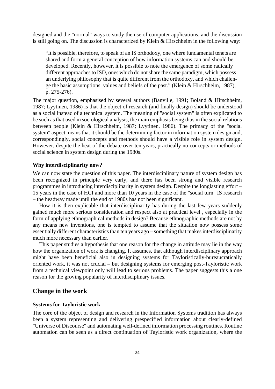designed and the "normal" ways to study the use of computer applications, and the discussion is still going on. The discussion is characterized by Klein & Hirschheim in the following way:

"It is possible, therefore, to speak of an IS orthodoxy, one where fundamental tenets are shared and form a general conception of how information systems can and should be developed. Recently, however, it is possible to note the emergence of some radically different approaches to ISD, ones which do not share the same paradigm, which possess an underlying philosophy that is quite different from the orthodoxy, and which challenge the basic assumptions, values and beliefs of the past." (Klein & Hirschheim, 1987), p. 275-276).

The major question, emphasised by several authors (Banville, 1991; Boland & Hirschheim, 1987; Lyytinen, 1986) is that the object of research (and finally design) should be understood as a social instead of a technical system. The meaning of "social system" is often explicated to be such as that used in sociological analysis, the main emphasis being thus in the social relations between people (Klein & Hirschheim, 1987; Lyytinen, 1986). The primacy of the "social system" aspect means that it should be the determining factor in information system design and, correspondingly, social concepts and methods should have a visible role in system design. However, despite the heat of the debate over ten years, practically no concepts or methods of social science in system design during the 1980s.

#### **Why interdisciplinarity now?**

We can now state the question of this paper. The interdisciplinary nature of system design has been recognized in principle very early, and there has been strong and visible research programmes in introducing interdisciplinarity in system design. Despite the longlasting effort – 15 years in the case of HCI and more than 10 years in the case of the "social turn" IS research – the headway made until the end of 1980s has not been significant.

How it is then explicable that interdisciplinarity has during the last few years suddenly gained much more serious consideration and respect also at practical level , especially in the form of applying ethnographical methods in design? Because ethnographic methods are not by any means new inventions, one is tempted to assume that the situation now possess some essentially different characteristics than ten years ago – something that makes interdisciplinarity much more necessary than earlier.

This paper studies a hypothesis that one reason for the change in attitude may lie in the way how the organization of work is changing. It assumes, that although interdisciplinary approach might have been beneficial also in designing systems for Tayloristically-bureaucratically oriented work, it was not crucial – but designing systems for emerging post-Tayloristic work from a technical viewpoint only will lead to serious problems. The paper suggests this a one reason for the groving popularity of interdisciplinary issues.

#### **Change in the work**

#### **Systems for Tayloristic work**

The core of the object of design and research in the Information Systems tradition has always been a system representing and delivering prespecified information about clearly-defined "Universe of Discourse" and automating well-defined information processing routines. Routine automation can be seen as a direct continuation of Tayloristic work organization, where the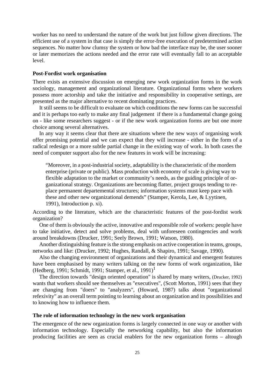worker has no need to understand the nature of the work but just follow given directions. The efficient use of a system in that case is simply the error-free execution of predetermined action sequences. No matter how clumsy the system or how bad the interface may be, the user sooner or later memorizes the actions needed and the error rate will eventually fall to an acceptable level.

#### **Post-Fordist work organisation**

There exists an extensive discussion on emerging new work organization forms in the work sociology, management and organizational literature. Organizational forms where workers possess more actorship and take the initiative and responsibility in cooperative settings, are presented as the major alternative to recent dominating practices.

It still seems to be difficult to evaluate on which conditions the new forms can be successful and it is perhaps too early to make any final judgement if there is a fundamental change going on - like some researchers suggest - or if the new work organization forms are but one more choice among several alternatives.

In any way it seems clear that there are situations where the new ways of organising work offer promising potential and we can expect that they will increase - either in the form of a radical redesign or a more subtle partial change in the existing way of work. In both cases the need of computer support also for the new features in work will be increasing:

"Moreover, in a post-industrial society, adaptability is the characteristic of the mordern enterprise (private or public). Mass production with economy of scale is giving way to flexible adaptation to the market or community's needs, as the guiding principle of organizational strategy. Organizations are becoming flatter, project groups tending to replace permanent departemental structures; information systems must keep pace with these and other new organizational demends" (Stamper, Kerola, Lee, & Lyytinen, 1991), Introduction p. xi).

According to the literature, which are the characteristic features of the post-fordist work organization?

One of them is obviously the active, innovative and responsible role of workers: people have to take initiative, detect and solve problems, deal with unforeseen contingencies and work around breakdowns (Drucker, 1991; Seely Brown, 1991; Watson, 1980).

Another distinguishing feature is the strong emphasis on active cooperation in teams, groups, networks and like: (Drucker, 1992; Hughes, Randall, & Shapiro, 1991; Savage, 1990).

Also the changing environment of organizations and their dynamical and emergent features have been emphasised by many writers talking on the new forms of work organization, like (Hedberg, 1991; Schmidt, 1991; Stamper, et al., 1991)<sup>1</sup>

The direction towards "design oriented operation" is shared by many writers, (Drucker, 1992) wants that workers should see themselves as "executives", (Scott Morton, 1991) sees that they are changing from "doers" to "analyzers", (Howard, 1987) talks about "organizational refexivity" as an overall term pointing to learning about an organization and its possibilities and to knowing how to influence them.

#### **The role of information technology in the new work organisation**

The emergence of the new organization forms is largely connected in one way or another with information technology. Especially the networking capability, but also the information producing facilities are seen as crucial enablers for the new organization forms – altough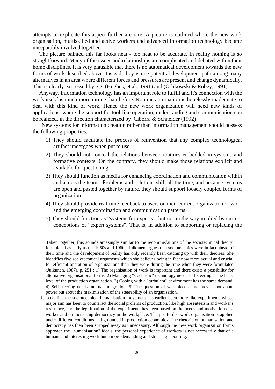attempts to explicate this aspect further are rare. A picture is outlined where the new work organisation, multiskilled and active workers and advanced information technology become unseparably involved together.

The picture painted this far looks neat - too neat to be accurate. In reality nothing is so straightforward. Many of the issues and relationships are complicated and debated within their home disciplines. It is very plausible that there is no automatical development towards the new forms of work described above. Instead, they is one potential development path among many alternatives in an area where different forces and pressures are present and change dynamically. This is clearly expressed by e.g. (Hughes, et al., 1991) and (Orlikowski & Robey, 1991)

Anyway, information technology has an important role to fulfill and it's connection with the work itsekf is much more intime than before. Routine automation is hopelessly inadequate to deal with this kind of work. Hence the new work organization will need new kinds of applications, where the support for tool-like operation, understanding and communication can be realized, in the direction characterized by Ciborra & Schneider (1992)

"New systems for information creation rather than information management should possess the following properties:

- 1) They should facilitate the process of reinvention that any complex technological artifact undergoes when put to use.
- 2) They should not conceal the relations between routines embedded in systems and formative contexts. On the contrary, they should make those relations explicit and available for questioning.
- 3) They should function as media for enhancing coordination and communication within and across the teams. Problems and solutions shift all the time, and because systems are open and pasted together by nature, they should support loosely coupled forms of organization.
- 4) They should provide real-time feedback to users on their current organization of work and the emerging coordination and communication patterns
- 5) They should function as "systems for experts", but not in the way implied by current conceptions of "expert systems". That is, in addition to supporting or replacing the

<sup>1.</sup> Taken together, this sounds amazingly similar to the recommedations of the sociotechnical theory, formulated as early as the 1950s and 1960s. Julkunen argues that sociotechnics were in fact ahead of their time and the development of reality has only recently been catching up with their theories. She identifies five sociotechnical arguments which she believes being in fact now more actual and crucial for efficient operation of organizations than they were during the time when they were formulated (Julkunen, 1987), p. 251 : 1) The organisation of work is important and there exists a possibility for alternative organisational forms. 2) Managing "stochastic" technology needs self-steering at the basic level of the production organisation. 3) Coping with a "turbulent" environment has the same demand. 4) Self-steering needs internal integration. 5) The question of workplace democracy is not about power but about the maximisation of the steerability of an organisation.

It looks like the sociotechnical humanisation movement has earlier been more like experiments whose major aim has been to counteract the social prolems of production, like high absenteeism and worker's resistance, and the legitimation of the experiments has been based on the needs and motivation of a worker and on increasing democracy in the workplace. The postfordist work organisation is applied under different conditions and grounded in production economics. The rhetoric on humanisation and democracy has then been stripped away as unnecessary. Although the new work organisation forms approach the "humanisation" ideals, the personal experience of workers is not necessarily that of a humane and interesting work but a more demanding and stressing labouring.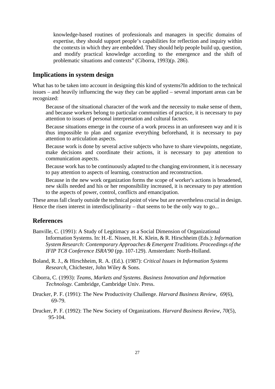knowledge-based routines of professionals and managers in specific domains of expertise, they should support people's capabilities for reflection and inquiry within the contexts in which they are embedded. They should help people build up, question, and modify practical knowledge according to the emergence and the shift of problematic situations and contexts" (Ciborra, 1993)(p. 286).

## **Implications in system design**

What has to be taken into account in designing this kind of systems?In addition to the technical issues – and heavily influencing the way they can be applied – several important areas can be recognized:

Because of the situational character of the work and the necessity to make sense of them, and because workers belong to particular communities of practice, it is necessary to pay attention to issues of personal interpretation and cultural factors.

Because situations emerge in the course of a work process in an unforeseen way and it is thus impossible to plan and organize everything beforehand, it is necessary to pay attention to articulation aspects.

Because work is done by several active subjects who have to share viewpoints, negotiate, make decisions and coordinate their actions, it is necessary to pay attention to communication aspects.

Because work has to be continuously adapted to the changing environment, it is necessary to pay attention to aspects of learning, construction and reconstruction.

Because in the new work organization forms the scope of worker's actions is broadened, new skills needed and his or her responsibility increased, it is necessary to pay attention to the aspects of power, control, conflicts and emancipation.

These areas fall clearly outside the technical point of view but are nevertheless crucial in design. Hence the risen interest in interdisciplinarity – that seems to be the only way to go...

#### **References**

- Banville, C. (1991): A Study of Legitimacy as a Social Dimension of Organizational Information Systems. In: H.-E. Nissen, H. K. Klein, & R. Hirschheim (Eds.): *Information System Research: Contemporary Approaches & Emergent Traditions. Proceedings of the IFIP TC8 Conference ISRA'90* (pp. 107-129). Amsterdam: North-Holland.
- Boland, R. J., & Hirschheim, R. A. (Ed.). (1987): *Critical Issues in Information Systems Research*. Chichester, John Wiley & Sons.
- Ciborra, C. (1993): *Teams, Markets and Systems. Business Innovation and Information Technology.* Cambridge, Cambridge Univ. Press.
- Drucker, P. F. (1991): The New Productivity Challenge. *Harvard Business Review, 69*(6), 69-79.
- Drucker, P. F. (1992): The New Society of Organizations. *Harvard Business Review, 70*(5), 95-104.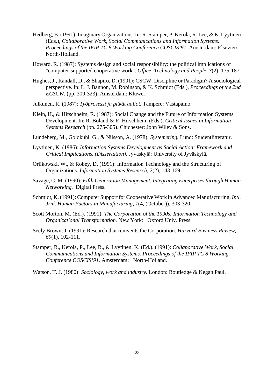- Hedberg, B. (1991): Imaginary Organizations. In: R. Stamper, P. Kerola, R. Lee, & K. Lyytinen (Eds.), *Collaborative Work, Social Communications and Information Systems. Proceedings of the IFIP TC 8 Working Conference COSCIS'91,* Amsterdam: Elsevier/ North-Holland.
- Howard, R. (1987): Systems design and social responsibility: the political implications of "computer-supported cooperative work". *Office, Technology and People, 3*(2), 175-187.
- Hughes, J., Randall, D., & Shapiro, D. (1991): CSCW: Discipline or Paradigm? A sociological perspective. In: L. J. Bannon, M. Robinson, & K. Schmidt (Eds.), *Proceedings of the 2nd ECSCW.* (pp. 309-323). Amsterdam: Kluwer.
- Julkunen, R. (1987): *Työprosessi ja pitkät aallot.* Tampere: Vastapaino.
- Klein, H., & Hirschheim, R. (1987): Social Change and the Future of Information Systems Development. In: R. Boland & R. Hirschheim (Eds.), *Critical Issues in Information Systems Research* (pp. 275-305). Chichester: John Wiley & Sons.
- Lundeberg, M., Goldkuhl, G., & Nilsson, A. (1978): *Systemering.* Lund: Studentlitteratur.
- Lyytinen, K. (1986): *Information Systems Development as Social Action: Framework and Critical Implications. (Dissertation).* Jyväskylä: University of Jyväskylä.
- Orlikowski, W., & Robey, D. (1991): Information Technology and the Structuring of Organizations. *Information Systems Research, 2*(2), 143-169.
- Savage, C. M. (1990): *Fifth Generation Management. Integrating Enterprises through Human Networking.* Digital Press.
- Schmidt, K. (1991): Computer Support for Cooperative Work in Advanced Manufacturing. *Intl. Jrnl. Human Factors in Manufacturing, 1*(4, (October)), 303-320.
- Scott Morton, M. (Ed.). (1991): *The Corporation of the 1990s: Information Technology and Organizational Transformation.* New York: Oxford Univ. Press.
- Seely Brown, J. (1991): Research that reinvents the Corporation. *Harvard Business Review, 69*(1), 102-111.
- Stamper, R., Kerola, P., Lee, R., & Lyytinen, K. (Ed.). (1991): *Collaborative Work, Social Communications and Information Systems. Proceedings of the IFIP TC 8 Working Conference COSCIS'91.* Amsterdam: North-Holland.

Watson, T. J. (1980): *Sociology, work and industry.* London: Routledge & Kegan Paul.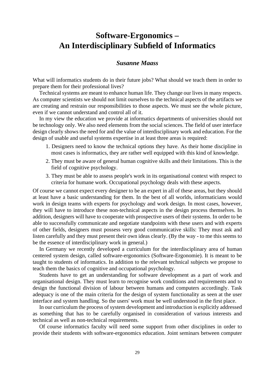# **Software-Ergonomics – An Interdisciplinary Subfield of Informatics**

### *Susanne Maass*

What will informatics students do in their future jobs? What should we teach them in order to prepare them for their professional lives?

Technical systems are meant to enhance human life. They change our lives in many respects. As computer scientists we should not limit ourselves to the technical aspects of the artifacts we are creating and restrain our responsibilities to those aspects. We must see the whole picture, even if we cannot understand and control all of it.

In my view the education we provide at informatics departments of universities should not be technology only. We also need elements from the social sciences. The field of user interface design clearly shows the need for and the value of interdisciplinary work and education. For the design of usable and useful systems expertise in at least three areas is required:

- 1. Designers need to know the technical options they have. As their home discipline in most cases is informatics, they are rather well equipped with this kind of knowledge.
- 2. They must be aware of general human cognitive skills and their limitations. This is the field of cognitive psychology.
- 3. They must be able to assess people's work in its organisational context with respect to criteria for humane work. Occupational psychology deals with these aspects.

Of course we cannot expect every designer to be an expert in all of these areas, but they should at least have a basic understanding for them. In the best of all worlds, informaticians would work in design teams with experts for psychology and work design. In most cases, however, they will have to introduce these non-technical aspects in the design process themselves. In addition, designers will have to cooperate with prospective users of their systems. In order to be able to successfully communicate and negotiate standpoints with these users and with experts of other fields, designers must possess very good communicative skills: They must ask and listen carefully and they must present their own ideas clearly. (By the way - to me this seems to be the essence of interdisciplinary work in general.)

In Germany we recently developed a curriculum for the interdisciplinary area of human centered system design, called software-ergonomics (Software-Ergonomie). It is meant to be taught to students of informatics. In addition to the relevant technical subjects we propose to teach them the basics of cognitive and occupational psychology.

Students have to get an understanding for software development as a part of work and organisational design. They must learn to recognise work conditions and requirements and to design the functional division of labour between humans and computers accordingly. Task adequacy is one of the main criteria for the design of system functionality as seen at the user interface and system handling. So the users' work must be well understood in the first place.

In our curriculum the process of system development and introduction is explicitly addressed as something that has to be carefully organised in consideration of various interests and technical as well as non-technical requirements.

Of course informatics faculty will need some support from other disciplines in order to provide their students with software-ergonomics education. Joint seminars between computer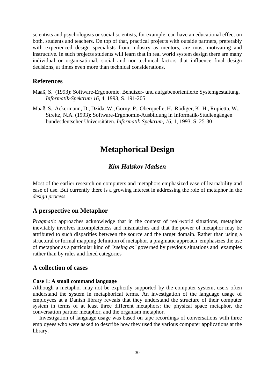scientists and psychologists or social scientists, for example, can have an educational effect on both, students and teachers. On top of that, practical projects with outside partners, preferably with experienced design specialists from industry as mentors, are most motivating and instructive. In such projects students will learn that in real world system design there are many individual or organisational, social and non-technical factors that influence final design decisions, at times even more than technical considerations.

#### **References**

- Maaß, S. (1993): Software-Ergonomie. Benutzer- und aufgabenorientierte Systemgestaltung. *Informatik-Spektrum 16*, 4, 1993, S. 191-205
- Maaß, S., Ackermann, D., Dzida, W., Gorny, P., Oberquelle, H., Rödiger, K.-H., Rupietta, W., Streitz, N.A. (1993): Software-Ergonomie-Ausbildung in Informatik-Studiengängen bundesdeutscher Universitäten. *Informatik-Spektrum, 16,* 1, 1993, S. 25-30

## **Metaphorical Design**

## *Kim Halskov Madsen*

Most of the earlier research on computers and metaphors emphasized ease of learnability and ease of use. But currently there is a growing interest in addressing the role of metaphor in the *design process.*

## **A perspective on Metaphor**

*Pragmatic* approaches acknowledge that in the context of real-world situations, metaphor inevitably involves incompleteness and mismatches and that the power of metaphor may be attributed to such disparities between the source and the target domain. Rather than using a structural or formal mapping definition of metaphor, a pragmatic approach emphasizes the use of metaphor as a particular kind of *"seeing as"* governed by previous situations and examples rather than by rules and fixed categories

### **A collection of cases**

#### **Case 1: A small command language**

Although a metaphor may not be explicitly supported by the computer system, users often understand the system in metaphorical terms. An investigation of the language usage of employees at a Danish library reveals that they understand the structure of their computer system in terms of at least three different metaphors: the physical space metaphor, the conversation partner metaphor, and the organism metaphor.

Investigation of language usage was based on tape recordings of conversations with three employees who were asked to describe how they used the various computer applications at the library.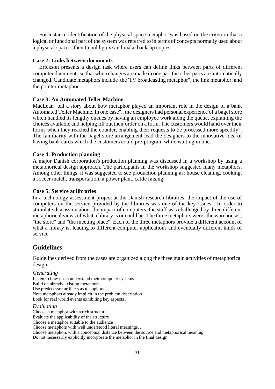For instance identification of the physical space metaphor was based on the criterion that a logical or functional part of the system was referred to in terms of concepts normally used about a physical space: "then I could go *in* and make back-up copies"

#### **Case 2: Links between documents**

Erickson presents a design task where users can define links between parts of different computer documents so that when changes are made in one part the other parts are automatically changed. Candidate metaphors include the 'TV broadcasting metaphor", the link metaphor, and the pointer metaphor.

#### **Case 3: An Automated Teller Machine**

MacLean tell a story about how metaphor played an important role in the design of a bank Automated Teller Machine. In one case".. the designers had personal experience of a bagel store which handled its lengthy queues by having an employee work along the queue, explaining the choices available and helping fill out their order on a form. The customers would hand over their forms when they reached the counter, enabling their requests to be processed more speedily". The familiarity with the bagel store arrangement lead the designers to the innovative idea of having bank cards which the customers could pre-program while waiting in line.

#### **Case 4: Production planning**

A major Danish corporation's production planning was discussed in a workshop by using a metaphorical design approach. The participants in the workshop suggested many metaphors. Among other things, it was suggested to see production planning as: house cleaning, cooking, a soccer match, transportation, a power plant, cattle raising,

#### **Case 5: Service at libraries**

In a technology assessment project at the Danish research libraries, the impact of the use of computers on the service provided by the libraries was one of the key issues . In order to stimulate discussion about the impact of computers, the staff was challenged by three different metaphorical views of what a library is or could be. The three metaphors were "the warehouse", "the store" and "the meeting place". Each of the three metaphors provide a different account of what a library is, leading to different computer applications and eventually different kinds of service.

#### **Guidelines**

Guidelines derived from the cases are organized along the three main activities of metaphorical design.

#### *Generating*

Listen to how users understand their computer systems Build on already existing metaphors. Use predecessor artifacts as metaphors. Note metaphors already implicit in the problem description Look for real world events exhibiting key aspects .

#### *Evaluating*

Choose a metaphor with a rich structure Evaluate the applicability of the structure Choose a metaphor suitable to the audience Choose metaphors with well understood literal meanings. . Choose metaphors with a conceptual distance between the source and metaphorical meaning. Do not necessarily explicitly incorporate the metaphor in the final design.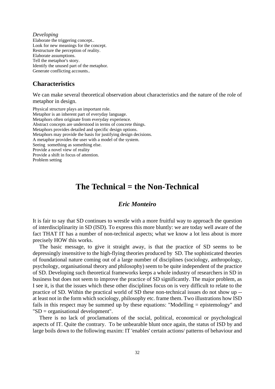*Developing* Elaborate the triggering concept.. Look for new meanings for the concept. Restructure the perception of reality. Elaborate assumptions. Tell the metaphor's story. Identify the unused part of the metaphor. Generate conflicting accounts..

## **Characteristics**

We can make several theoretical observation about characteristics and the nature of the role of metaphor in design.

Physical structure plays an important role. Metaphor is an inherent part of everyday language. Metaphors often originate from everyday experience. Abstract concepts are understood in terms of concrete things. Metaphors provides detailed and specific design options. Metaphors may provide the basis for justifying design decisions. A metaphor provides the user with a model of the system. Seeing something as something else. Provide a novel view of reality Provide a shift in focus of attention. Problem setting

## **The Technical = the Non-Technical**

#### *Eric Monteiro*

It is fair to say that SD continues to wrestle with a more fruitful way to approach the question of interdisciplinarity in SD (ISD). To express this more bluntly: we are today well aware of the fact THAT IT has a number of non-technical aspects; what we know a lot less about is more precisely HOW this works.

The basic message, to give it straight away, is that the practice of SD seems to be depressingly insensitive to the high-flying theories produced by SD. The sophisticated theories of foundational nature coming out of a large number of disciplines (sociology, anthropology, psychology, organisational theory and philosophy) seem to be quite independent of the practice of SD. Developing such theoretical frameworks keeps a whole industry of researchers in SD in business but does not seem to improve the practice of SD significantly. The major problem, as I see it, is that the issues which these other disciplines focus on is very difficult to relate to the practice of SD. Within the practical world of SD these non-technical issues do not show up - at least not in the form which sociology, philosophy etc. frame them. Two illustrations how ISD fails in this respect may be summed up by these equations: "Modelling = epistemology" and "SD = organisational development".

There is no lack of proclamations of the social, political, economical or psychological aspects of IT. Quite the contrary. To be unbearable blunt once again, the status of ISD by and large boils down to the following maxim: IT 'enables' certain actions/ patterns of behaviour and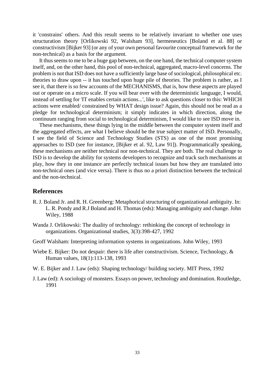it 'constrains' others. And this result seems to be relatively invariant to whether one uses structuration theory [Orlikowski 92, Walsham 93], hermeneutics [Boland et al. 88] or constructivism [Bijker 93] (or any of your own personal favourite conceptual framework for the non-technical) as a basis for the argument.

It thus seems to me to be a huge gap between, on the one hand, the technical computer system itself, and, on the other hand, this pool of non-technical, aggregated, macro-level concerns. The problem is not that ISD does not have a sufficiently large base of sociological, philosophical etc. theories to draw upon -- it has touched upon huge pile of theories. The problem is rather, as I see it, that there is so few accounts of the MECHANISMS, that is, how these aspects are played out or operate on a micro scale. If you will bear over with the deterministic language, I would, instead of settling for 'IT enables certain actions...', like to ask questions closer to this: WHICH actions were enabled/ constrained by WHAT design issue? Again, this should not be read as a pledge for technological determinism; it simply indicates in which direction, along the continuum ranging from social to technological determinism, I would like to see ISD move in.

These mechanisms, these things lying in the middle between the computer system itself and the aggregated effects, are what I believe should be the true subject matter of ISD. Personally, I see the field of Science and Technology Studies (STS) as one of the most promising approaches to ISD (see for instance, [Bijker et al. 92, Law 91]). Programmatically speaking, these mechanisms are neither technical nor non-technical. They are both. The real challenge to ISD is to develop the ability for systems developers to recognize and track such mechanisms at play, how they in one instance are perfectly technical issues but how they are translated into non-technical ones (and vice versa). There is thus no a priori distinction between the technical and the non-technical.

#### **References**

- R. J. Boland Jr. and R. H. Greenberg: Metaphorical structuring of organizational ambiguity. In: L. R. Pondy and R.J Boland and H. Thomas (eds): Managing ambiguity and change. John Wiley, 1988
- Wanda J. Orlikowski: The duality of technology: rethinking the concept of technology in organizations. Organizational studies, 3(3):398-427, 1992
- Geoff Walsham: Interpreting information systems in organizations. John Wiley, 1993
- Wiebe E. Bijker: Do not despair: there is life after constructivism. Science, Technology, & Human values, 18(1):113-138, 1993
- W. E. Bijker and J. Law (eds): Shaping technology/ building society. MIT Press, 1992
- J. Law (ed): A sociology of monsters. Essays on power, technology and domination. Routledge, 1991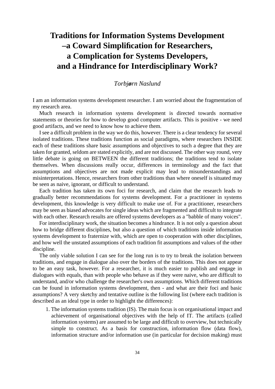# **Traditions for Information Systems Development –a Coward Simplification for Researchers, a Complication for Systems Developers, and a Hindrance for Interdisciplinary Work?**

### *Torbjørn Naslund*

I am an information systems development researcher. I am worried about the fragmentation of my research area.

Much research in information systems development is directed towards normative statements or theories for how to develop good computer artifacts. This is positive - we need good artifacts, and we need to know how to achieve them.

I see a difficult problem in the way we do this, however. There is a clear tendency for several isolated traditions. These traditions function as social paradigms, where researchers INSIDE each of these traditions share basic assumptions and objectives to such a degree that they are taken for granted, seldom are stated explicitly, and are not discussed. The other way round, very little debate is going on BETWEEN the different traditions; the traditions tend to isolate themselves. When discussions really occur, differences in terminology and the fact that assumptions and objectives are not made explicit may lead to misunderstandings and misinterpretations. Hence, researchers from other traditions than where oneself is situated may be seen as naive, ignorant, or difficult to understand.

Each tradition has taken its own foci for research, and claim that the research leads to gradually better recommendations for systems development. For a practitioner in systems development, this knowledge is very difficult to make use of. For a practitioner, researchers may be seen as biased advocates for single ideas which are fragmented and difficult to integrate with each other. Research results are offered systems developers as a "babble of many voices".

For interdisciplinary work, the situation becomes a hindrance. It is not only a question about how to bridge different disciplines, but also a question of which traditions inside information systems development to fraternize with, which are open to cooperation with other disciplines, and how well the unstated assumptions of each tradition fit assumptions and values of the other discipline.

The only viable solution I can see for the long run is to try to break the isolation between traditions, and engage in dialogue also over the borders of the traditions. This does not appear to be an easy task, however. For a researcher, it is much easier to publish and engage in dialogues with equals, than with people who behave as if they were naive, who are difficult to understand, and/or who challenge the researcher's own assumptions. Which different traditions can be found in information systems development, then - and what are their foci and basic assumptions? A very sketchy and tentative outline is the following list (where each tradition is described as an ideal type in order to highlight the differences):

1. The information systems tradition (IS). The main focus is on organisational impact and achievement of organisational objectives with the help of IT. The artifacts (called information systems) are assumed to be large and difficult to overview, but technically simple to construct. As a basis for construction, information flow (data flow), information structure and/or information use (in particular for decision making) must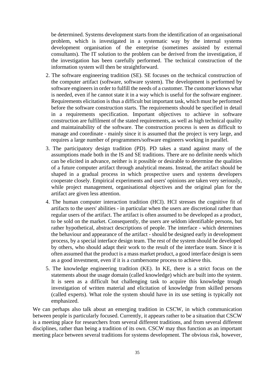be determined. Systems development starts from the identification of an organisational problem, which is investigated in a systematic way by the internal systems development organisation of the enterprise (sometimes assisted by external consultants). The IT solution to the problem can be derived from the investigation, if the investigation has been carefully performed. The technical construction of the information system will then be straightforward.

- 2. The software engineering tradition (SE). SE focuses on the technical construction of the computer artifact (software, software system). The development is performed by software engineers in order to fulfill the needs of a customer. The customer knows what is needed, even if he cannot state it in a way which is useful for the software engineer. Requirements elicitation is thus a difficult but important task, which must be performed before the software construction starts. The requirements should be specified in detail in a requirements specification. Important objectives to achieve in software construction are fulfilment of the stated requirements, as well as high technical quality and maintainability of the software. The construction process is seen as difficult to manage and coordinate - mainly since it is assumed that the project is very large, and requires a large number of programmers/software engineers working in parallel.
- 3. The participatory design tradition (PD). PD takes a stand against many of the assumptions made both in the IS and SE traditions. There are no definite needs which can be elicited in advance, neither is it possible or desirable to determine the qualities of a future computer artifact through analytical means. Instead, the artifact should be shaped in a gradual process in which prospective users and systems developers cooperate closely. Empirical experiments and users' opinions are taken very seriously, while project management, organisational objectives and the original plan for the artifact are given less attention.
- 4. The human computer interaction tradition (HCI). HCI stresses the cognitive fit of artifacts to the users' abilities - in particular when the users are discretional rather than regular users of the artifact. The artifact is often assumed to be developed as a product, to be sold on the market. Consequently, the users are seldom identifiable persons, but rather hypothetical, abstract descriptions of people. The interface - which determines the behaviour and appearance of the artifact - should be designed early in development process, by a special interface design team. The rest of the system should be developed by others, who should adapt their work to the result of the interface team. Since it is often assumed that the product is a mass market product, a good interface design is seen as a good investment, even if it is a cumbersome process to achieve this.
- 5. The knowledge engineering tradition (KE). In KE, there is a strict focus on the statements about the usage domain (called knowledge) which are built into the system. It is seen as a difficult but challenging task to acquire this knowledge trough investigation of written material and elicitation of knowledge from skilled persons (called experts). What role the system should have in its use setting is typically not emphasized.

We can perhaps also talk about an emerging tradition in CSCW, in which communication between people is particularly focused. Currently, it appears rather to be a situation that CSCW is a meeting place for researchers from several different traditions, and from several different disciplines, rather than being a tradition of its own. CSCW may thus function as an important meeting place between several traditions for systems development. The obvious risk, however,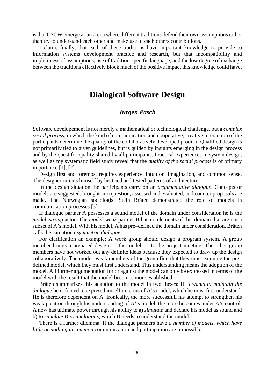is that CSCW emerge as an arena where different traditions defend their own assumptions rather than try to understand each other and make use of each others contributions.

I claim, finally, that each of these traditions have important knowledge to provide to information systems development practice and research, but that incompatibility and implicitness of assumptions, use of tradition-specific language, and the low degree of exchange between the traditions effectively block much of the positive impact this knowledge could have.

## **Dialogical Software Design**

### *Jürgen Pasch*

Software developement is not merely a mathematical or technological challenge, but a *complex social process*, in which the kind of communication and cooperative, creative interaction of the participants determine the quality of the collaboratively developed product. Qualified design is not primarily tied to given guidelines, but is guided by insights emerging in the design process and by the quest for quality shared by all participants. Practical experiences in system design, as well as my systematic field study reveal that the *quality of the social process* is of primary importance [1], [2].

Design first and foremost requires experience, intuition, imagination, and common sense. The designer orients himself by his tried and tested patterns of architecture.

In the design situation the participants carry on an *argumentative dialogue*. Concepts or models are suggested, brought into question, assessed and evaluated, and counter proposals are made. The Norwegian sociologist Stein Bråten demonstrated the role of models in communication processes [3].

If dialogue partner A possesses a sound model of the domain under consideration he is the *model–strong* actor. The *model–weak* partner B has no elements of this domain that are not a subset of A's model. With his model, A has pre–defined the domain under consideration. Bråten calls this situation *asymmetric dialogue*.

For clarification an example: A work group should design a program system. A group member brings a prepared design — the model — to the project meeting. The other group members have not worked out any definite ideas because they expected to draw up the design collaboratively. The model–weak members of the group find that they must examine the pre– defined model, which they must first understand. This understanding means the adoption of the model. All further argumentation for or against the model can only be expressed in terms of the model with the result that the model becomes more established.

Bråten summarizes this adaption to the model in two theses: If B *wants to maintain the dialogue* he is forced to express himself in terms of A's model, which he must first understand. He is therefore dependent on A. Ironically, the more successfull his attempt to strengthen his weak position through his understanding of A' s model, the more he comes under A's control. A now has ultimate power through his ability to a) *simulate* and declare his model as sound and b) to *simulate B's simulations*, which B needs to understand the model.

There is a further dilemma: If the dialogue partners have *a number of models, which have little or nothing in common* communication and participation are impossible.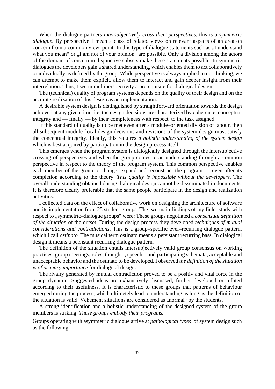When the dialogue partners *intersubjectively cross their perspectives*, this is a *symmetric dialogue*. By perspective I mean a class of related views on relevant aspects of an area on concern from a common view–point. In this type of dialogue statements such as "I understand what you mean" or "I am not of your opinion" are possible. Only a division among the actors of the domain of concern in disjunctive subsets make these statements possible. In symmetric dialogues the developers gain a shared understanding, which enables them to act collaboratively or individually as defined by the group. While perspective is always implied in our thinking, we can attempt to make them explicit, allow them to interact and gain deeper insight from their interrelation. Thus, I see in multiperspectivity a prerequisite for dialogical design.

The (technical) quality of program systems depends on the quality of their design and on the accurate realization of this design as an implementation.

A desirable system design is distinguished by straightforward orientation towards the design achieved at any given time, i.e. the design decisions are characterized by coherence, conceptual integrity and — finally — by their completeness with respect to the task assigned.

If this standard of quality is to be met even after a module–oriented division of labour, then all subsequent module–local design decisions and revisions of the system design must satisfy the conceptual integrity. Ideally, this requires *a holistic understanding of the system design* which is best acquired by participation in the design process itself.

This emerges when the program system is dialogically designed through the intersubjective crossing of perspectives and when the group comes to an understanding through a common perspective in respect to the theory of the program system. This common perspective enables each member of the group to change, expand and reconstruct the program — even after its completion according to the theory. *This quality is impossible without the developers*. The overall understanding obtained during dialogical design cannot be disseminated in documents. It is therefore clearly preferable that the same people participate in the design and realization activities.

I collected data on the effect of collaborative work on designing the architecture of software and its implementation from 25 student groups. The two main findings of my field–study with respect to ..symmetric–dialogue groups" were: These groups negotiated a *consensual definition of the situation* of the outset. During the design process they developed *techniques of mutual considerations and contradictions*. This is a group–specific ever–recurring dialogue pattern, which I call *ostinato*. The musical term ostinato means a persistant recurring bass. In dialogical design it means a persistant recurring dialogue pattern.

The definition of the situation entails intersubjectively valid group consensus on working practices, group meetings, roles, thought–, speech–, and participating schemata, acceptable and unacceptable behavior and the ostinato to be developed. I observed *the definition of the situation is of primary importance* for dialogical design.

The rivalry generated by mutual contradiction proved to be a positiv and vital force in the group dynamic. Suggested ideas are exhaustively discussed, further developed or refuted according to their usefulness. It is characteristic to these groups that patterns of behaviour emerged during the process, which ultimetely lead to understanding as long as the definition of the situation is valid. Vehement situations are considered as "normal" by the students.

A strong identification and a holistic understanding of the designed system of the group members is striking. *These groups embody their programs.*

Groups operating with asymmetric dialogue arrive at *pathological types* of system design such as the following: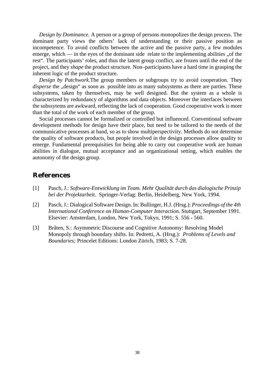*Design by Dominance.* A person or a group of persons monopolizes the design process. The dominant party views the others' lack of understanding or their passive position as incompetence. To avoid conflicts between the active and the passive party, a few modules emerge, which — in the eyes of the dominant side relate to the implementing abilities  $\alpha$  the rest". The participants' roles, and thus the latent group conflict, are frozen until the end of the project, and they *shape* the product structure. Non–participants have a hard time in grasping the inherent logic of the product structure.

*Design by Patchwork.*The group members or subgroups try to avoid cooperation. They *disperse* the "design" as soon as possible into as many subsystems as there are parties. These subsystems, taken by themselves, may be well designed. But the system as a whole is characterized by redundancy of algorithms and data objects. Moreover the interfaces between the subssytems are awkward, reflecting the lack of cooperation. Good cooperative work is more than the total of the work of each member of the group.

Social processes cannot be formalized or controlled but influenced. Conventional software development methods for design have their place, but need to be tailored to the needs of the communicative processes at hand, so as to show multiperspectivity. Methods do not determine the quality of software products, but people involved in the design processes allow quality to emerge. Fundamental prerequisities for being able to carry out cooperative work are human abilities in dialogue, mutual acceptance and an organizational setting, which enables the autonomy of the design group.

## **References**

- [1] Pasch, J.: *Software-Entwicklung im Team. Mehr Qualität durch das dialogische Prinzip bei der Projektarbeit*. Springer-Verlag: Berlin, Heidelberg, New York, 1994.
- [2] Pasch, J.: Dialogical Software Design. In: Bullinger, H.J. (Hrsg.): *Proceedings of the 4th International Conference on Human-Computer Interaction.* Stuttgart, September 1991. Elsevier: Amsterdam, London, New York, Tokyo, 1991; S. 556 - 560.
- [3] Bråten, S.: Asymmetric Discourse and Cognitive Autonomy: Resolving Model Monopoly through boundary shifts. In: Pedretti, A. (Hrsg.): *Problems of Levels and Boundaries;* Princelet Editions: London Zürich, 1983; S. 7-28.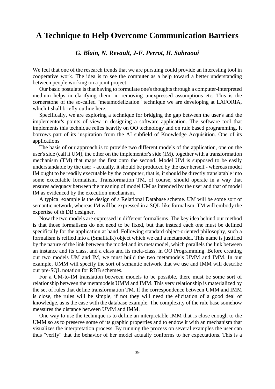## **A Technique to Help Overcome Communication Barriers**

## *G. Blain, N. Revault, J-F. Perrot, H. Sahraoui*

We feel that one of the research trends that we are pursuing could provide an interesting tool in cooperative work. The idea is to see the computer as a help toward a better understanding between people working on a joint project.

Our basic postulate is that having to formulate one's thoughts through a computer-interpreted medium helps in clarifying them, in removing unexpressed assumptions etc. This is the cornerstone of the so-called "metamodelization" technique we are developing at LAFORIA, which I shall briefly outline here.

Specifically, we are exploring a technique for bridging the gap between the user's and the implementor's points of view in designing a software application. The software tool that implements this technique relies heavily on OO technology and on rule based programming. It borrows part of its inspiration from the AI subfield of Knowledge Acquisition. One of its applications

The basis of our approach is to provide two different models of the application, one on the user's side (call it UM), the other on the implementor's side (IM), together with a transformation mechanism (TM) that maps the first onto the second. Model UM is supposed to be easily understandable by the user - actually, it should be produced by the user herself - whereas model IM ought to be readily executable by the computer, that is, it should be directly translatable into some executable formalism. Transformation TM, of course, should operate in a way that ensures adequacy between the meaning of model UM as intended by the user and that of model IM as evidenced by the execution mechanism.

A typical example is the design of a Relational Database scheme. UM will be some sort of semantic network, whereas IM will be expressed in a SQL-like formalism. TM will embody the expertise of th DB designer.

Now the two models are expressed in different formalisms. The key idea behind our method is that those formalisms do not need to be fixed, but that instead each one must be defined specifically for the application at hand. Following standard object-oriented philosophy, such a formalism is reified into a (Smalltalk) object which we call a metamodel. This name is justified by the nature of the link between the model and its metamodel, which parallels the link between an instance and its class, and a class and its meta-class, in OO Programming. Before creating our two models UM and IM, we must build the two metamodels UMM and IMM. In our example, UMM will specify the sort of semantic network that we use and IMM will describe our pre-SQL notation for RDB schemes.

For a UM-to-IM translation between models to be possible, there must be some sort of relationship between the metamodels UMM and IMM. This very relationship is materialized by the set of rules that define transformation TM. If the correspondence between UMM and IMM is close, the rules will be simple, if not they will need the elicitation of a good deal of knowledge, as is the case with the database example. The complexity of the rule base somehow measures the distance between UMM and IMM.

One way to use the technique is to define an interpretable IMM that is close enough to the UMM so as to preserve some of its graphic properties and to endow it with an mechanism that visualizes the interpretation process. By running the process on several examples the user can thus "verify" that the behavior of her model actually conforms to her expectations. This is a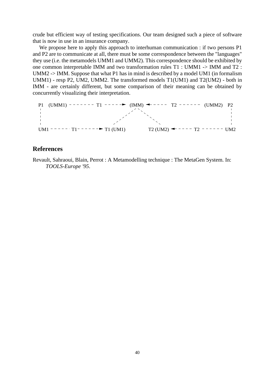crude but efficient way of testing specifications. Our team designed such a piece of software that is now in use in an insurance company.

We propose here to apply this approach to interhuman communication : if two persons P1 and P2 are to communicate at all, there must be some correspondence between the "languages" they use (i.e. the metamodels UMM1 and UMM2). This correspondence should be exhibited by one common interpretable IMM and two transformation rules T1 : UMM1 -> IMM and T2 : UMM2 -> IMM. Suppose that what P1 has in mind is described by a model UM1 (in formalism UMM1) - resp P2, UM2, UMM2. The transformed models T1(UM1) and T2(UM2) - both in IMM - are certainly different, but some comparison of their meaning can be obtained by concurrently visualizing their interpretation.

P1 (UMM1) 
$$
-
$$
 T1  $-$  T2  $-$  -  $-$  (UMM2) P2  
\n $+$   
\n $+$   
\n $1$   
\n $1$   
\n $1$   
\n $1$   
\n $1$   
\n $1$   
\n $1$   
\n $1$   
\n $1$   
\n $1$   
\n $1$   
\n $1$   
\n $1$   
\n $1$   
\n $1$   
\n $1$   
\n $1$   
\n $1$   
\n $1$   
\n $1$   
\n $1$   
\n $1$   
\n $1$   
\n $1$   
\n $1$   
\n $1$   
\n $1$   
\n $1$   
\n $1$   
\n $1$   
\n $1$   
\n $1$   
\n $1$   
\n $1$   
\n $1$   
\n $1$   
\n $1$   
\n $1$   
\n $1$   
\n $1$   
\n $1$   
\n $1$   
\n $1$   
\n $1$   
\n $1$   
\n $1$   
\n $1$   
\n $1$   
\n $1$   
\n $1$   
\n $1$   
\n $1$   
\n $1$   
\n $1$   
\n $1$   
\n $1$   
\n $1$   
\n $1$   
\n $1$   
\n $1$   
\n $1$   
\n $1$   
\n $1$   
\n $1$   
\n

## **References**

Revault, Sahraoui, Blain, Perrot : A Metamodelling technique : The MetaGen System. In: *TOOLS-Europe '95*.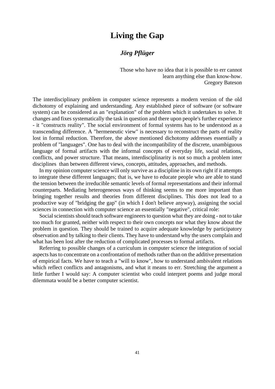## **Living the Gap**

## *Jörg Pflüger*

Those who have no idea that it is possible to err cannot learn anything else than know-how. Gregory Bateson

The interdisciplinary problem in computer science represents a modern version of the old dichotomy of explaining and understanding. Any established piece of software (or software system) can be considered as an "explanation" of the problem which it undertakes to solve. It changes and fixes systematically the task in question and there upon people's further experience - it "constructs reality". The social environment of formal systems has to be understood as a transcending difference. A "hermeneutic view" is necessary to reconstruct the parts of reality lost in formal reduction. Therefore, the above mentioned dichotomy addresses essentially a problem of "languages". One has to deal with the incompatibility of the discrete, unambiguous language of formal artifacts with the informal concepts of everyday life, social relations, conflicts, and power structure. That means, interdisciplinarity is not so much a problem inter disciplines than between different views, concepts, attitudes, approaches, and methods.

In my opinion computer science will only survive as a discipline in its own right if it attempts to integrate these different languages; that is, we have to educate people who are able to stand the tension between the irreducible semantic levels of formal representations and their informal counterparts. Mediating heterogeneous ways of thinking seems to me more important than bringing together results and theories from different disciplines. This does not lead to a productive way of "bridging the gap" (in which I don't believe anyway), assigning the social sciences in connection with computer science an essentially "negative", critical role:

Social scientists should teach software engineers to question what they are doing - not to take too much for granted, neither with respect to their own concepts nor what they know about the problem in question. They should be trained to acquire adequate knowledge by participatory observation and by talking to their clients. They have to understand why the users complain and what has been lost after the reduction of complicated processes to formal artifacts.

Referring to possible changes of a curriculum in computer science the integration of social aspects has to concentrate on a confrontation of methods rather than on the additive presentation of empirical facts. We have to teach a "will to know", how to understand ambivalent relations which reflect conflicts and antagonisms, and what it means to err. Stretching the argument a little further I would say: A computer scientist who could interpret poems and judge moral dilemmata would be a better computer scientist.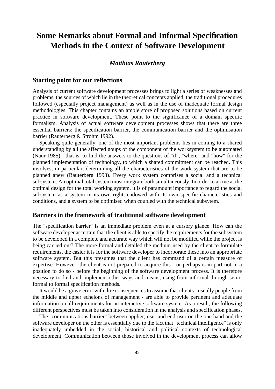# **Some Remarks about Formal and Informal Specification Methods in the Context of Software Development**

### *Matthias Rauterberg*

#### **Starting point for our reflections**

Analysis of current software development processes brings to light a series of weaknesses and problems, the sources of which lie in the theoretical concepts applied, the traditional procedures followed (especially project management) as well as in the use of inadequate formal design methodologies. This chapter contains an ample store of proposed solutions based on current practice in software development. These point to the significance of a domain specific formalism. Analysis of actual software development processes shows that there are three essential barriers: the specification barrier, the communication barrier and the optimisation barrier (Rauterberg & Strohm 1992).

Speaking quite generally, one of the most important problems lies in coming to a shared understanding by all the affected goups of the component of the worksystem to be automated (Naur 1985) - that is, to find the answers to the questions of "if", "where" and "how" for the planned implementation of technology, to which a shared commitment can be reached. This involves, in particular, determining all the characteristics of the work system that are to be planned anew (Rauterberg 1993). Every work system comprises a social and a technical subsystem. An optimal total system must integrate both simultaneously. In order to arrive at the optimal design for the total working system, it is of paramount importance to regard the social subsystem as a system in its own right, endowed with its own specific characteristics and conditions, and a system to be optimised when coupled with the technical subsytem.

#### **Barriers in the framework of traditional software development**

The "specification barrier" is an immediate problem even at a cursory glance. How can the software developer ascertain that the client is able to specify the requirements for the subsystem to be developed in a complete and accurate way which will not be modified while the project is being carried out? The more formal and detailed the medium used by the client to formulate requirements, the easier it is for the software developer to incorporate these into an appropriate software system. But this presumes that the client has command of a certain measure of expertise. However, the client is not prepared to acquire this - or perhaps is in part not in a position to do so - before the beginning of the software development process. It is therefore necessary to find and implement other ways and means, using from informal through semiformal to formal specification methods.

It would be a grave error with dire consequences to assume that clients - usually people from the middle and upper echelons of management - are able to provide pertinent and adequate information on all requirements for an interactive software system. As a result, the following different perspectives must be taken into consideration in the analysis and specification phases.

The "communications barrier" between applier, user and end-user on the one hand and the software developer on the other is essentially due to the fact that "technical intelligence" is only inadequately imbedded in the social, historical and political contexts of technological development. Communication between those involved in the development process can allow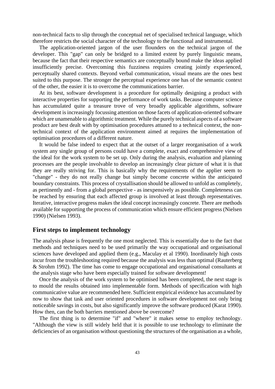non-technical facts to slip through the conceptual net of specialised technical language, which therefore restricts the social character of the technology to the functional and instrumental.

The application-oriented jargon of the user flounders on the technical jargon of the developer. This "gap" can only be bridged to a limited extent by purely linguistic means, because the fact that their respective semantics are conceptually bound make the ideas applied insufficiently precise. Overcoming this fuzziness requires creating jointly experienced, perceptually shared contexts. Beyond verbal communication, visual means are the ones best suited to this purpose. The stronger the perceptual experience one has of the semantic context of the other, the easier it is to overcome the communications barrier.

At its best, software development is a procedure for optimally designing a product with interactive properties for supporting the performance of work tasks. Because computer science has accumulated quite a treasure trove of very broadly applicable algorithms, software development is increasingly focussing attention on those facets of application-oriented software which are unamenable to algorithmic treatment. While the purely technical aspects of a software product are best dealt with by optimisation procedures attuned to a technical context, the nontechnical context of the application environment aimed at requires the implementation of optimisation procedures of a different nature.

It would be false indeed to expect that at the outset of a larger reorganisation of a work system any single group of persons could have a complete, exact and comprehensive view of the ideal for the work system to be set up. Only during the analysis, evaluation and planning processes are the people involvable to develop an increasingly clear picture of what it is that they are really striving for. This is basically why the requirements of the applier seem to "change" - they do not really change but simply become concrete within the anticipated boundary constraints. This process of crystallisation should be allowed to unfold as completely, as pertinently and - from a global perspective - as inexpensively as possible. Completeness can be reached by ensuring that each affected group is involved at least through representatives. Iterative, interactive progress makes the ideal concept increasingly concrete. There are methods available for supporting the process of communication which ensure efficient progress (Nielsen 1990) (Nielsen 1993).

### **First steps to implement technology**

The analysis phase is frequently the one most neglected. This is essentially due to the fact that methods and techniques need to be used primarily the way occupational and organisational sciences have developed and applied them (e.g., Maculay et al 1990). Inordinately high costs incur from the troubleshooting required because the analysis was less than optimal (Rauterberg & Strohm 1992). The time has come to engage occupational and organisational consultants at the analysis stage who have been especially trained for software development!

Once the analysis of the work system to be optimised has been completed, the next stage is to mould the results obtained into implementable form. Methods of specification with high communicative value are recommended here. Sufficient empirical evidence has accumulated by now to show that task and user oriented procedures in software development not only bring noticeable savings in costs, but also significantly improve the software produced (Karat 1990). How then, can the both barriers mentioned above be overcome?

The first thing is to determine "if" and "where" it makes sense to employ technology. "Although the view is still widely held that it is possible to use technology to eliminate the deficiencies of an organisation without questioning the structures of the organisation as a whole,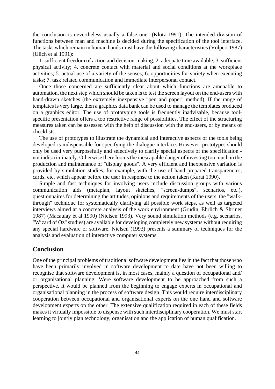the conclusion is nevertheless usually a false one" (Klotz 1991). The intended division of functions between man and machine is decided during the specification of the tool interface. The tasks which remain in human hands must have the following characteristics (Volpert 1987) (Ulich et al 1991):

1. sufficient freedom of action and decision-making; 2. adequate time available; 3. sufficient physical activity; 4. concrete contact with material and social conditions at the workplace activities; 5. actual use of a variety of the senses; 6. opportunities for variety when executing tasks; 7. task related communication and immediate interpersonal contact.

Once those concerned are sufficiently clear about which functions are amenable to automation, the next step which should be taken is to test the screen layout on the end-users with hand-drawn sketches (the extremely inexpensive "pen and paper" method). If the range of templates is very large, then a graphics data bank can be used to manage the templates produced on a graphics editor. The use of prototyping tools is frequently inadvisable, because toolspecific presentation offers a too restrictive range of possibilities. The effect of the structuring measures taken can be assessed with the help of discussion with the end-users, or by means of checklists.

The use of prototypes to illustrate the dynamical and interactive aspects of the tools being developed is indispensable for specifying the dialogue interface. However, prototypes should only be used very purposefully and selectively to clarify special aspects of the specification not indiscriminately. Otherwise there looms the inescapable danger of investing too much in the production and maintenance of "display goods". A very efficient and inexpensive variation is provided by simulation studies, for example, with the use of hand prepared transparencies, cards, etc. which appear before the user in response to the action taken (Karat 1990).

Simple and fast techniques for involving users include discussion groups with various communication aids (metaplan, layout sketches, "screen-dumps", scenarios, etc.), questionnaires for determining the attitudes, opinions and requirements of the users, the "walkthrough" technique for systematically clarifying all possible work steps, as well as targeted interviews aimed at a concrete analysis of the work environment (Grudin, Ehrlich & Shriner 1987) (Macaulay et al 1990) (Nielsen 1993). Very sound simulation methods (e.g. scenarios, "Wizard of Oz" studies) are available for developing completely new systems without requiring any special hardware or software. Nielsen (1993) presents a summary of techniques for the analysis and evaluation of interactive computer systems.

#### **Conclusion**

One of the principal problems of traditional software development lies in the fact that those who have been primarily involved in software development to date have not been willing to recognise that software development is, in most cases, mainly a question of occupational and/ or organisational planning. Were software development to be approached from such a perspective, it would be planned from the beginning to engage experts in occupational and organisational planning in the process of software design. This would require interdisciplinary cooperation between occupational and organisational experts on the one hand and software development experts on the other. The extensive qualification required in each of these fields makes it virtually impossible to dispense with such interdisciplinary cooperation. We must start learning to jointly plan technology, organisation and the application of human qualification.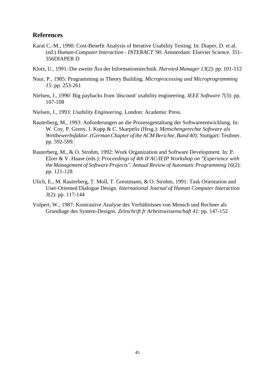### **References**

- Karat C.-M., 1990: Cost-Benefit Analysis of Iterative Usability Testing. In: Diaper, D. et al. (ed.) *Human-Computer Interaction - INTERACT '90*. Amsterdam: Elsevier Science. 351- 356DIAPER D
- Klotz, U., 1991: Die zweite Ära der Informationstechnik. *Harvard Manager 13*(2): pp. 101-112
- Naur, P., 1985: Programming as Theory Building. *Microprocessing and Microprogramming 15*: pp. 253-261
- Nielsen, J., 1990: Big paybacks from 'discount' usability engineering. *IEEE Software 7*(3): pp. 107-108
- Nielsen, J., 1993: *Usability Engineering*. London: Academic Press.
- Rauterberg, M., 1993: Anforderungen an die Prozessgestaltung der Softwareentwicklung. In: W. Coy, P. Gorny, I. Kopp & C. Skarpelis (Hrsg.): *Menschengerechte Software als Wettbewerbsfaktor. (German Chapter of the ACM Berichte, Band 40);* Stuttgart: Teubner. pp. 592-599.
- Rauterberg, M., & O. Strohm, 1992: Work Organization and Software Development. In: P. Elzer & V. Haase (eds.): *Proceedings of 4th IFAC/IFIP Workshop on "Experience with the Management of Software Projects". Annual Review of Automatic Programming 16*(2): pp. 121-128
- Ulich, E., M. Rauterberg, T. Moll, T. Greutmann, & O. Strohm, 1991: Task Orientation and User-Oriented Dialogue Design. *International Journal of Human Computer Interaction 3*(2): pp. 117-144
- Volpert, W., 1987: Kontrastive Analyse des Verhältnisses von Mensch und Rechner als Grundlage des System-Designs. *Zeitschrift fr Arbeitswissenschaft 41*: pp. 147-152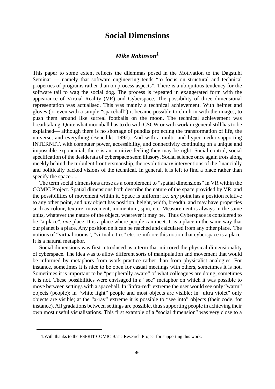## **Social Dimensions**

## *Mike Robinson<sup>1</sup>*

This paper to some extent reflects the dilemmas posed in the Motivation to the Dagstuhl Seminar — namely that software engineering tends "to focus on structural and technical properties of programs rather than on process aspects". There is a ubiquitous tendency for the software tail to wag the social dog. The process is repeated in exaggerated form with the appearance of Virtual Reality (VR) and Cyberspace. The possibility of three dimensional representation was actualised. This was mainly a technical achievement. With helmet and gloves (or even with a simple "spaceball") it became possible to climb in with the images, to push them around like surreal footballs on the moon. The technical achievement was breathtaking. Quite what moonball has to do with CSCW or with work in general still has to be explained— although there is no shortage of pundits projecting the transformation of life, the universe, and everything (Benedikt, 1992). And with a multi- and hyper-media supporting INTERNET, with computer power, accessibility, and connectivity continuing on a unique and impossible exponential, there is an intuitive feeling they may be right. Social control, social specification of the desiderata of cyberspace seem illusory. Social science once again trots along meekly behind the turbulent frontiersmanship, the revolutionary interventions of the financially and politically backed visions of the technical. In general, it is left to find a place rather than specify the space......

The term social dimensions arose as a complement to "spatial dimensions" in VR within the COMIC Project. Spatial dimensions both describe the nature of the space provided by VR, and the possibilities of movement within it. Space is uniform: i.e. *any* point has a position relative to any other point, and *any* object has position, height, width, breadth, and may have properties such as colour, texture, movement, momentum, spin, etc. Measurement is always in the same units, whatever the nature of the object, wherever it may be. Thus Cyberspace is considered to be "a place", *one* place. It is a place where people can meet. It is a place in the same way that our planet is a place. Any position on it can be reached and calculated from any other place. The notions of "virtual rooms", "virtual cities" etc. re-inforce this notion that cyberspace is a place. It is a natural metaphor.

Social dimensions was first introduced as a term that mirrored the physical dimensionality of cyberspace. The idea was to allow different sorts of manipulation and movement that would be informed by metaphors from work practice rather than from physicalist analogies. For instance, sometimes it is nice to be open for casual meetings with others, sometimes it is not. Sometimes it is important to be "peripherally aware" of what colleagues are doing, sometimes it is not. These possibilities were envisaged in a "see" metaphor on which it was possible to move between settings with a spaceball. In "infra-red" extreme the user would see only "warm" objects (people); in "white light" people and most objects are visible; in "ultra violet" only objects are visible; at the "x-ray" extreme it is possible to "see into" objects (their code, for instance). All gradations between settings are possible, thus supporting people in achieving their own most useful visualisations. This first example of a "social dimension" was very close to a

<sup>1.</sup>With thanks to the ESPRIT COMIC Basic Research Project for supporting this work.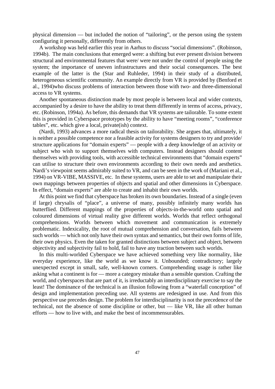physical dimension — but included the notion of "tailoring", or the person using the system configuring it personally, differently from others.

A workshop was held earlier this year in Aarhus to discuss "social dimensions". (Robinson, 1994b). The main conclusions that emerged were: a shifting but ever present division between structural and environmental features that were/ were not under the control of people using the system; the importance of uneven infrastructures and their social consequences. The best example of the latter is the (Star and Ruhleder, 1994) in their study of a distributed, heterogeneous scientific community. An example directly from VR is provided by (Benford et al., 1994)who discuss problems of interaction between those with two- and three-dimensional access to VR systems.

Another spontaneous distinction made by most people is between local and wider contexts, accompanied by a desire to have the ability to treat them differently in terms of access, privacy, etc. (Robinson, 1994a). As before, this demands that VR systems are tailorable. To some extent this is provided in Cyberspace prototypes by the ability to have "meeting rooms", "conference tables", etc. which give a local, private(ish) context.

(Nardi, 1993) advances a more radical thesis on tailorability. She argues that, ultimately, it is neither a possible competence nor a feasible activity for systems designers to try and provide/ structure applications for "domain experts" — people with a deep knowledge of an activity or subject who wish to support themselves with computers. Instead designers should content themselves with providing tools, with accessible technical environments that "domain experts" can utilise to structure their own environments according to their own needs and aesthetics. Nardi's viewpoint seems admirably suited to VR, and can be seen in the work of (Mariani et al., 1994) on VR-VIBE, MASSIVE, etc. In these systems, users are able to set and manipulate their own mappings between properties of objects and spatial and other dimensions in Cyberspace. In effect, "domain experts" are able to create and inhabit their own worlds.

At this point we find that cyberspace has broken its own boundaries. Instead of a single (even if large) chrysalis of "place", a universe of many, possibly infinitely many worlds has butterflied. Different mappings of the properties of objects-in-the-world onto spatial and coloured dimensions of virtual reality give different worlds. Worlds that reflect orthogonal comprehensions. Worlds between which movement and communication is extremely problematic. Indexicality, the root of mutual comprehension and conversation, fails between such worlds — which not only have their own syntax and semantics, but their own forms of life, their own physics. Even the taken for granted distinctions between subject and object, between objectivity and subjectivity fail to hold, fail to have any traction between such worlds.

In this multi-worlded Cyberspace we have achieved something very like normality, like everyday experience, like the world as we know it. Unbounded; contradictory; largely unexpected except in small, safe, well-known corners. Comprehending usage is rather like asking what a continent is for — more a category mistake than a sensible question. Crafting the world, and cyberspaces that are part of it, is irreductably an interdisciplinary exercise to say the least! The dominance of the technical is an illusion following from a "waterfall conception" of design and implementation preceding use. All systems are redesigned in use. And from this perspective use precedes design. The problem for interdisciplinarity is not the precedence of the technical, not the absence of some discipline or other, but — like VR, like all other human efforts — how to live with, and make the best of incommensurables.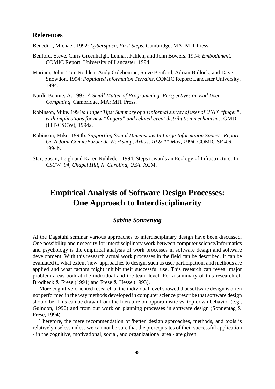### **References**

Benedikt, Michael. 1992: *Cyberspace, First Steps*. Cambridge, MA: MIT Press.

- Benford, Steve, Chris Greenhalgh, Lennart Fahlén, and John Bowers. 1994: *Embodiment.* COMIC Report. University of Lancaster, 1994.
- Mariani, John, Tom Rodden, Andy Colebourne, Steve Benford, Adrian Bullock, and Dave Snowdon. 1994: *Populated Information Terrains*. COMIC Report: Lancaster University, 1994.
- Nardi, Bonnie, A. 1993. *A Small Matter of Programming: Perspectives on End User Computing*. Cambridge, MA: MIT Press.
- Robinson, Mike. 1994a: *Finger Tips: Summary of an informal survey of uses of UNIX "finger", with implications for new "fingers" and related event distribution mechanisms*. GMD (FIT-CSCW), 1994a.
- Robinson, Mike. 1994b: *Supporting Social Dimensions In Large Information Spaces: Report On A Joint Comic/Eurocode Workshop, Ärhus, 10 & 11 May, 1994*. COMIC SF 4.6, 1994b.
- Star, Susan, Leigh and Karen Ruhleder. 1994. Steps towards an Ecology of Infrastructure. In *CSCW '94, Chapel Hill, N. Carolina, USA*. ACM.

# **Empirical Analysis of Software Design Processes: One Approach to Interdisciplinarity**

### *Sabine Sonnentag*

At the Dagstuhl seminar various approaches to interdisciplinary design have been discussed. One possibility and necessity for interdisciplinary work between computer science/informatics and psychology is the empirical analysis of work processes in software design and software development. With this research actual work processes in the field can be described. It can be evaluated to what extent 'new' approaches to design, such as user participation, and methods are applied and what factors might inhibit their successful use. This research can reveal major problem areas both at the indicidual and the team level. For a summary of this research cf. Brodbeck & Frese (1994) and Frese & Hesse (1993).

More cognitive-oriented research at the individual level showed that software design is often not performed in the way methods developed in computer science prescribe that software design should be. This can be drawn from the literature on opportunistic vs. top-down behavior (e.g., Guindon, 1990) and from our work on planning processes in software design (Sonnentag & Frese, 1994).

Therefore, the mere recommendation of 'better' design approaches, methods, and tools is relatively useless unless we can not be sure that the prerequisites of their successful application - in the cognitive, motivational, social, and organizational area - are given.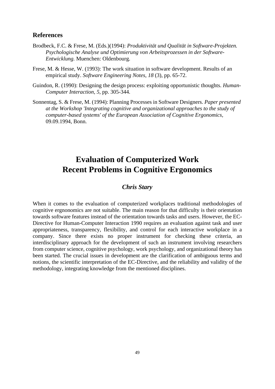### **References**

- Brodbeck, F.C. & Frese, M. (Eds.)(1994): *Produktivität und Qualität in Software-Projekten. Psychologische Analyse und Optimierung von Arbeitsprozessen in der Software-Entwicklung.* Muenchen: Oldenbourg.
- Frese, M. & Hesse, W. (1993): The work situation in software development. Results of an empirical study. *Software Engineering Notes, 18* (3), pp. 65-72.
- Guindon, R. (1990): Designing the design process: exploiting opportunistic thoughts. *Human-Computer Interaction, 5*, pp. 305-344.
- Sonnentag, S. & Frese, M. (1994): Planning Processes in Software Designers. *Paper presented at the Workshop 'Integrating cognitive and organizational approaches to the study of computer-based systems' of the European Association of Cognitive Ergonomics,* 09.09.1994, Bonn.

# **Evaluation of Computerized Work Recent Problems in Cognitive Ergonomics**

## *Chris Stary*

When it comes to the evaluation of computerized workplaces traditional methodologies of cognitive ergnonomics are not suitable. The main reason for that difficulty is their orientation towards software features instead of the orientation towards tasks and users. However, the EC-Directive for Human-Computer Interaction 1990 requires an evaluation against task and user appropriateness, transparency, flexibility, and control for each interactive workplace in a company. Since there exists no proper instrument for checking these criteria, an interdisciplinary approach for the development of such an instrument involving researchers from computer science, cognitive psychology, work psychology, and organizational theory has been started. The crucial issues in development are the clarification of ambiguous terms and notions, the scientific interpretation of the EC-Directive, and the reliability and validity of the methodology, integrating knowledge from the mentioned disciplines.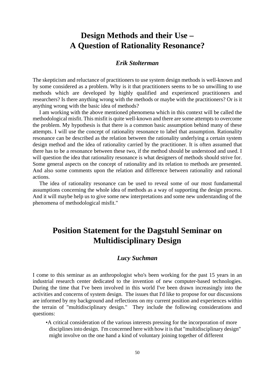# **Design Methods and their Use – A Question of Rationality Resonance?**

#### *Erik Stolterman*

The skepticism and reluctance of practitioners to use system design methods is well-known and by some considered as a problem. Why is it that practitioners seems to be so unwilling to use methods which are developed by highly qualified and experienced practitioners and researchers? Is there anything wrong with the methods or maybe with the practitioners? Or is it anything wrong with the basic idea of methods?

I am working with the above mentioned phenomena which in this context will be called the methodological misfit. This misfit is quite well-known and there are some attempts to overcome the problem. My hypothesis is that there is a common basic assumption behind many of these attempts. I will use the concept of rationality resonance to label that assumption. Rationality resonance can be described as the relation between the rationality underlying a certain system design method and the idea of rationality carried by the practitioner. It is often assumed that there has to be a resonance between these two, if the method should be understood and used. I will question the idea that rationality resonance is what designers of methods should strive for. Some general aspects on the concept of rationality and its relation to methods are presented. And also some comments upon the relation and difference between rationality and rational actions.

The idea of rationality resonance can be used to reveal some of our most fundamental assumptions concerning the whole idea of methods as a way of supporting the design process. And it will maybe help us to give some new interpretations and some new understanding of the phenomena of methodological misfit."

# **Position Statement for the Dagstuhl Seminar on Multidisciplinary Design**

#### *Lucy Suchman*

I come to this seminar as an anthropologist who's been working for the past 15 years in an industrial research center dedicated to the invention of new computer-based technologies. During the time that I've been involved in this world I've been drawn increasingly into the activities and concerns of system design. The issues that I'd like to propose for our discussions are informed by my background and reflections on my current position and experiences within the terrain of "multidisciplinary design." They include the following considerations and questions:

•A critical consideration of the various interests pressing for the incorporation of more disciplines into design. I'm concerned here with how it is that "multidisciplinary design" might involve on the one hand a kind of voluntary joining together of different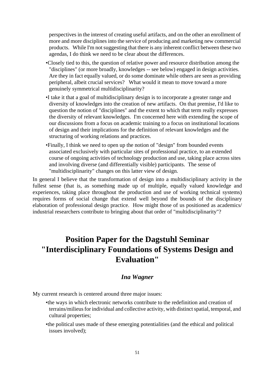perspectives in the interest of creating useful artifacts, and on the other an enrollment of more and more disciplines into the service of producing and marketing new commercial products. While I'm not suggesting that there is any inherent conflict between these two agendas, I do think we need to be clear about the differences.

- •Closely tied to this, the question of relative power and resource distribution among the "disciplines" (or more broadly, knowledges -- see below) engaged in design activities. Are they in fact equally valued, or do some dominate while others are seen as providing peripheral, albeit crucial services? What would it mean to move toward a more genuinely symmetrical multidisciplinarity?
- •I take it that a goal of multidisciplinary design is to incorporate a greater range and diversity of knowledges into the creation of new artifacts. On that premise, I'd like to question the notion of "disciplines" and the extent to which that term really expresses the diversity of relevant knowledges. I'm concerned here with extending the scope of our discussions from a focus on academic training to a focus on institutional locations of design and their implications for the definition of relevant knowledges and the structuring of working relations and practices.
- •Finally, I think we need to open up the notion of "design" from bounded events associated exclusively with particular sites of professional practice, to an extended course of ongoing activities of technology production and use, taking place across sites and involving diverse (and differentially visible) participants. The sense of "multidisciplinarity" changes on this latter view of design.

In general I believe that the transformation of design into a multidisciplinary activity in the fullest sense (that is, as something made up of multiple, equally valued knowledge and experiences, taking place throughout the production and use of working technical systems) requires forms of social change that extend well beyond the bounds of the disciplinary elaboration of professional design practice. How might those of us positioned as academics/ industrial researchers contribute to bringing about that order of "multidisciplinarity"?

# **Position Paper for the Dagstuhl Seminar "Interdisciplinary Foundations of Systems Design and Evaluation"**

#### *Ina Wagner*

My current research is centered around three major issues:

- •the ways in which electronic networks contribute to the redefinition and creation of terrains/milieus for individual and collective activity, with distinct spatial, temporal, and cultural properties;
- •the political uses made of these emerging potentialities (and the ethical and political issues involved);